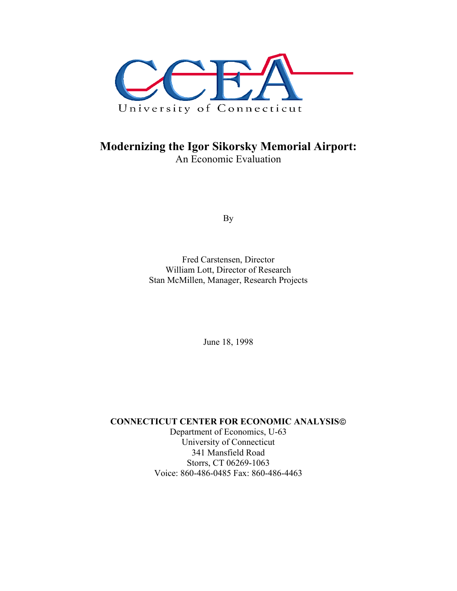

## **Modernizing the Igor Sikorsky Memorial Airport:**  An Economic Evaluation

By

Fred Carstensen, Director William Lott, Director of Research Stan McMillen, Manager, Research Projects

June 18, 1998

**CONNECTICUT CENTER FOR ECONOMIC ANALYSIS**

Department of Economics, U-63 University of Connecticut 341 Mansfield Road Storrs, CT 06269-1063 Voice: 860-486-0485 Fax: 860-486-4463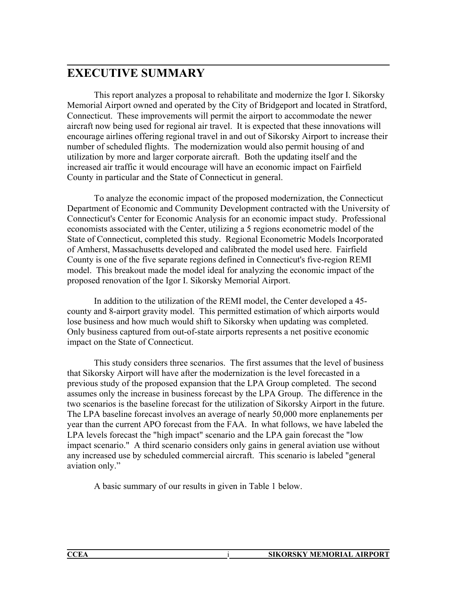# **EXECUTIVE SUMMARY**

 This report analyzes a proposal to rehabilitate and modernize the Igor I. Sikorsky Memorial Airport owned and operated by the City of Bridgeport and located in Stratford, Connecticut. These improvements will permit the airport to accommodate the newer aircraft now being used for regional air travel. It is expected that these innovations will encourage airlines offering regional travel in and out of Sikorsky Airport to increase their number of scheduled flights. The modernization would also permit housing of and utilization by more and larger corporate aircraft. Both the updating itself and the increased air traffic it would encourage will have an economic impact on Fairfield County in particular and the State of Connecticut in general.

 To analyze the economic impact of the proposed modernization, the Connecticut Department of Economic and Community Development contracted with the University of Connecticut's Center for Economic Analysis for an economic impact study. Professional economists associated with the Center, utilizing a 5 regions econometric model of the State of Connecticut, completed this study. Regional Econometric Models Incorporated of Amherst, Massachusetts developed and calibrated the model used here. Fairfield County is one of the five separate regions defined in Connecticut's five-region REMI model. This breakout made the model ideal for analyzing the economic impact of the proposed renovation of the Igor I. Sikorsky Memorial Airport.

 In addition to the utilization of the REMI model, the Center developed a 45 county and 8-airport gravity model. This permitted estimation of which airports would lose business and how much would shift to Sikorsky when updating was completed. Only business captured from out-of-state airports represents a net positive economic impact on the State of Connecticut.

 This study considers three scenarios. The first assumes that the level of business that Sikorsky Airport will have after the modernization is the level forecasted in a previous study of the proposed expansion that the LPA Group completed. The second assumes only the increase in business forecast by the LPA Group. The difference in the two scenarios is the baseline forecast for the utilization of Sikorsky Airport in the future. The LPA baseline forecast involves an average of nearly 50,000 more enplanements per year than the current APO forecast from the FAA. In what follows, we have labeled the LPA levels forecast the "high impact" scenario and the LPA gain forecast the "low impact scenario." A third scenario considers only gains in general aviation use without any increased use by scheduled commercial aircraft. This scenario is labeled "general aviation only."

A basic summary of our results in given in Table 1 below.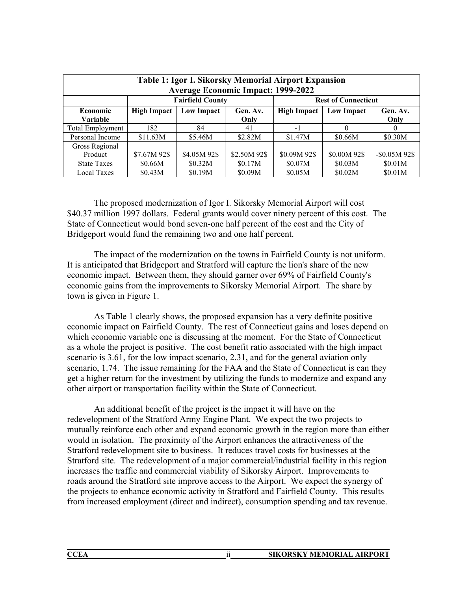|                         | Table 1: Igor I. Sikorsky Memorial Airport Expansion<br><b>Average Economic Impact: 1999-2022</b> |                                                                               |              |              |              |              |  |  |  |  |  |  |  |  |  |  |
|-------------------------|---------------------------------------------------------------------------------------------------|-------------------------------------------------------------------------------|--------------|--------------|--------------|--------------|--|--|--|--|--|--|--|--|--|--|
|                         | <b>Fairfield County</b><br><b>Rest of Connecticut</b>                                             |                                                                               |              |              |              |              |  |  |  |  |  |  |  |  |  |  |
| <b>Economic</b>         | High Impact                                                                                       | Low Impact<br><b>High Impact</b><br><b>Low Impact</b><br>Gen. Av.<br>Gen. Av. |              |              |              |              |  |  |  |  |  |  |  |  |  |  |
| <b>Variable</b>         |                                                                                                   |                                                                               | Only         |              |              | Only         |  |  |  |  |  |  |  |  |  |  |
| <b>Total Employment</b> | 182                                                                                               | 84                                                                            | 41           | $-1$         | 0            | $\theta$     |  |  |  |  |  |  |  |  |  |  |
| Personal Income         | \$11.63M                                                                                          | \$5.46M                                                                       | \$2.82M      | \$1.47M      | \$0.66M      | \$0.30M      |  |  |  |  |  |  |  |  |  |  |
| Gross Regional          |                                                                                                   |                                                                               |              |              |              |              |  |  |  |  |  |  |  |  |  |  |
| Product                 | \$7.67M 92\$                                                                                      | \$4.05M 92\$                                                                  | \$2.50M 92\$ | \$0.09M 92\$ | \$0.00M 92\$ | $-$0.05M92$$ |  |  |  |  |  |  |  |  |  |  |
| <b>State Taxes</b>      | \$0.66M                                                                                           | \$0.32M                                                                       | \$0.17M      | \$0.07M      | \$0.03M      | \$0.01M      |  |  |  |  |  |  |  |  |  |  |
| <b>Local Taxes</b>      | \$0.05M<br>\$0.02M<br>\$0.01M<br>\$0.43M<br>\$0.19M<br>\$0.09M                                    |                                                                               |              |              |              |              |  |  |  |  |  |  |  |  |  |  |

 The proposed modernization of Igor I. Sikorsky Memorial Airport will cost \$40.37 million 1997 dollars. Federal grants would cover ninety percent of this cost. The State of Connecticut would bond seven-one half percent of the cost and the City of Bridgeport would fund the remaining two and one half percent.

 The impact of the modernization on the towns in Fairfield County is not uniform. It is anticipated that Bridgeport and Stratford will capture the lion's share of the new economic impact. Between them, they should garner over 69% of Fairfield County's economic gains from the improvements to Sikorsky Memorial Airport. The share by town is given in Figure 1.

 As Table 1 clearly shows, the proposed expansion has a very definite positive economic impact on Fairfield County. The rest of Connecticut gains and loses depend on which economic variable one is discussing at the moment. For the State of Connecticut as a whole the project is positive. The cost benefit ratio associated with the high impact scenario is 3.61, for the low impact scenario, 2.31, and for the general aviation only scenario, 1.74. The issue remaining for the FAA and the State of Connecticut is can they get a higher return for the investment by utilizing the funds to modernize and expand any other airport or transportation facility within the State of Connecticut.

An additional benefit of the project is the impact it will have on the redevelopment of the Stratford Army Engine Plant. We expect the two projects to mutually reinforce each other and expand economic growth in the region more than either would in isolation. The proximity of the Airport enhances the attractiveness of the Stratford redevelopment site to business. It reduces travel costs for businesses at the Stratford site. The redevelopment of a major commercial/industrial facility in this region increases the traffic and commercial viability of Sikorsky Airport. Improvements to roads around the Stratford site improve access to the Airport. We expect the synergy of the projects to enhance economic activity in Stratford and Fairfield County. This results from increased employment (direct and indirect), consumption spending and tax revenue.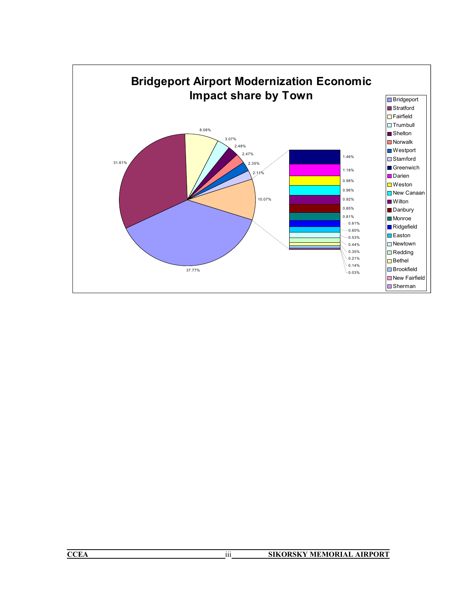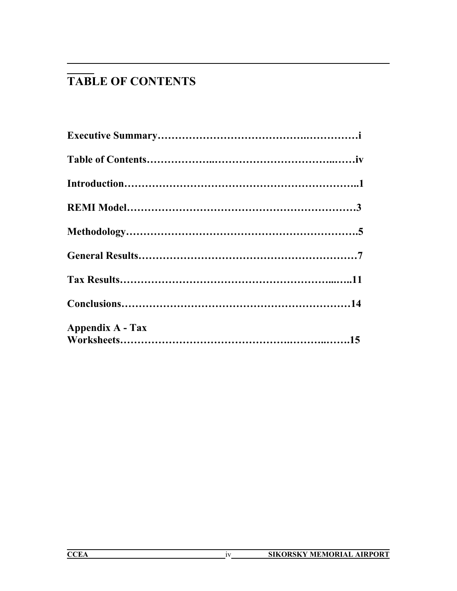# **TABLE OF CONTENTS**

| <b>Appendix A - Tax</b> |  |
|-------------------------|--|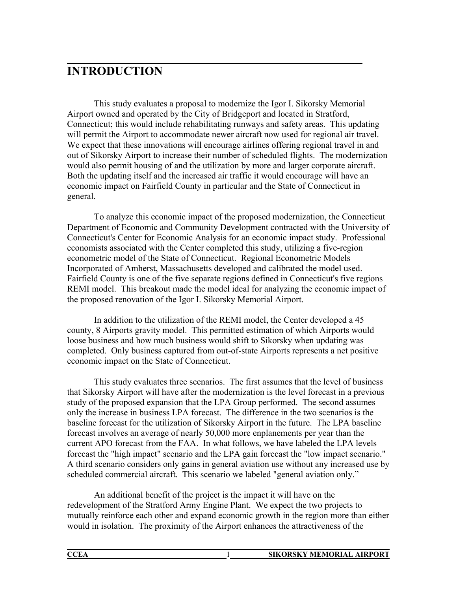# **INTRODUCTION**

 This study evaluates a proposal to modernize the Igor I. Sikorsky Memorial Airport owned and operated by the City of Bridgeport and located in Stratford, Connecticut; this would include rehabilitating runways and safety areas. This updating will permit the Airport to accommodate newer aircraft now used for regional air travel. We expect that these innovations will encourage airlines offering regional travel in and out of Sikorsky Airport to increase their number of scheduled flights. The modernization would also permit housing of and the utilization by more and larger corporate aircraft. Both the updating itself and the increased air traffic it would encourage will have an economic impact on Fairfield County in particular and the State of Connecticut in general.

 To analyze this economic impact of the proposed modernization, the Connecticut Department of Economic and Community Development contracted with the University of Connecticut's Center for Economic Analysis for an economic impact study. Professional economists associated with the Center completed this study, utilizing a five-region econometric model of the State of Connecticut. Regional Econometric Models Incorporated of Amherst, Massachusetts developed and calibrated the model used. Fairfield County is one of the five separate regions defined in Connecticut's five regions REMI model. This breakout made the model ideal for analyzing the economic impact of the proposed renovation of the Igor I. Sikorsky Memorial Airport.

 In addition to the utilization of the REMI model, the Center developed a 45 county, 8 Airports gravity model. This permitted estimation of which Airports would loose business and how much business would shift to Sikorsky when updating was completed. Only business captured from out-of-state Airports represents a net positive economic impact on the State of Connecticut.

 This study evaluates three scenarios. The first assumes that the level of business that Sikorsky Airport will have after the modernization is the level forecast in a previous study of the proposed expansion that the LPA Group performed. The second assumes only the increase in business LPA forecast. The difference in the two scenarios is the baseline forecast for the utilization of Sikorsky Airport in the future. The LPA baseline forecast involves an average of nearly 50,000 more enplanements per year than the current APO forecast from the FAA. In what follows, we have labeled the LPA levels forecast the "high impact" scenario and the LPA gain forecast the "low impact scenario." A third scenario considers only gains in general aviation use without any increased use by scheduled commercial aircraft. This scenario we labeled "general aviation only."

An additional benefit of the project is the impact it will have on the redevelopment of the Stratford Army Engine Plant. We expect the two projects to mutually reinforce each other and expand economic growth in the region more than either would in isolation. The proximity of the Airport enhances the attractiveness of the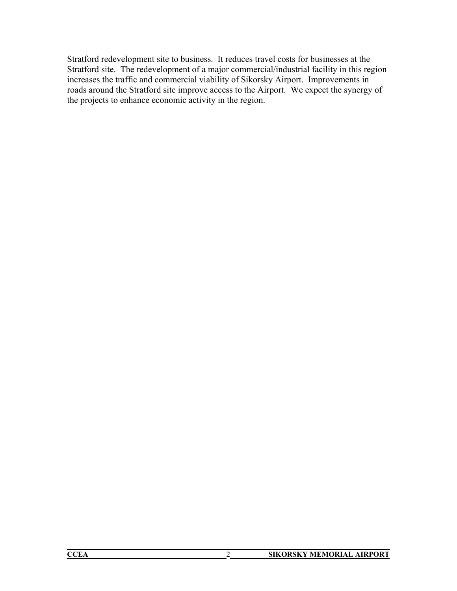Stratford redevelopment site to business. It reduces travel costs for businesses at the Stratford site. The redevelopment of a major commercial/industrial facility in this region increases the traffic and commercial viability of Sikorsky Airport. Improvements in roads around the Stratford site improve access to the Airport. We expect the synergy of the projects to enhance economic activity in the region.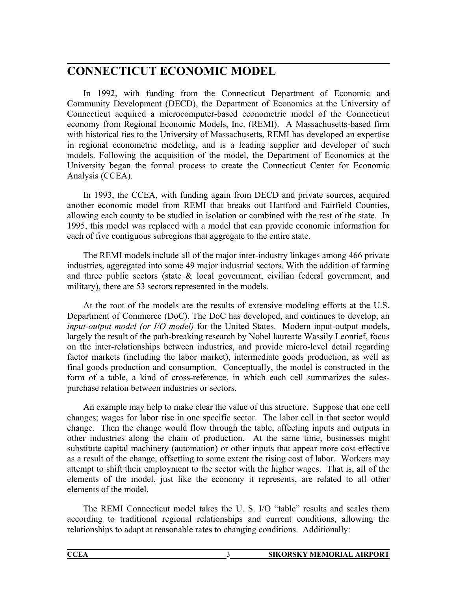## **CONNECTICUT ECONOMIC MODEL**

In 1992, with funding from the Connecticut Department of Economic and Community Development (DECD), the Department of Economics at the University of Connecticut acquired a microcomputer-based econometric model of the Connecticut economy from Regional Economic Models, Inc. (REMI). A Massachusetts-based firm with historical ties to the University of Massachusetts, REMI has developed an expertise in regional econometric modeling, and is a leading supplier and developer of such models. Following the acquisition of the model, the Department of Economics at the University began the formal process to create the Connecticut Center for Economic Analysis (CCEA).

In 1993, the CCEA, with funding again from DECD and private sources, acquired another economic model from REMI that breaks out Hartford and Fairfield Counties, allowing each county to be studied in isolation or combined with the rest of the state. In 1995, this model was replaced with a model that can provide economic information for each of five contiguous subregions that aggregate to the entire state.

The REMI models include all of the major inter-industry linkages among 466 private industries, aggregated into some 49 major industrial sectors. With the addition of farming and three public sectors (state  $\&$  local government, civilian federal government, and military), there are 53 sectors represented in the models.

At the root of the models are the results of extensive modeling efforts at the U.S. Department of Commerce (DoC). The DoC has developed, and continues to develop, an *input-output model (or I/O model)* for the United States. Modern input-output models, largely the result of the path-breaking research by Nobel laureate Wassily Leontief, focus on the inter-relationships between industries, and provide micro-level detail regarding factor markets (including the labor market), intermediate goods production, as well as final goods production and consumption. Conceptually, the model is constructed in the form of a table, a kind of cross-reference, in which each cell summarizes the salespurchase relation between industries or sectors.

An example may help to make clear the value of this structure. Suppose that one cell changes; wages for labor rise in one specific sector. The labor cell in that sector would change. Then the change would flow through the table, affecting inputs and outputs in other industries along the chain of production. At the same time, businesses might substitute capital machinery (automation) or other inputs that appear more cost effective as a result of the change, offsetting to some extent the rising cost of labor. Workers may attempt to shift their employment to the sector with the higher wages. That is, all of the elements of the model, just like the economy it represents, are related to all other elements of the model.

The REMI Connecticut model takes the U. S. I/O "table" results and scales them according to traditional regional relationships and current conditions, allowing the relationships to adapt at reasonable rates to changing conditions. Additionally:

| <b>SIKORSKY MEMORIAL AIRPORT</b> |
|----------------------------------|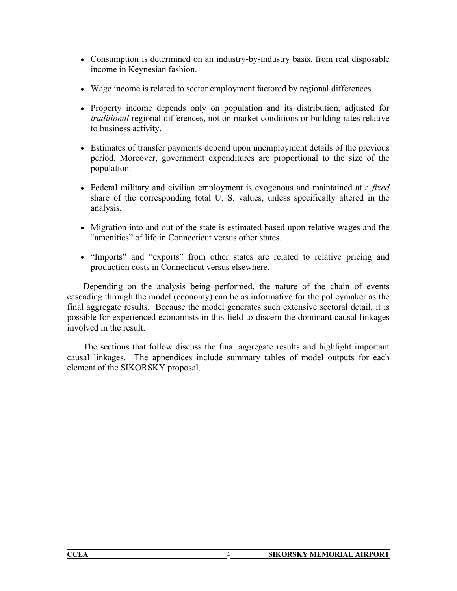- Consumption is determined on an industry-by-industry basis, from real disposable income in Keynesian fashion.
- Wage income is related to sector employment factored by regional differences.
- Property income depends only on population and its distribution, adjusted for *traditional* regional differences, not on market conditions or building rates relative to business activity.
- Estimates of transfer payments depend upon unemployment details of the previous period. Moreover, government expenditures are proportional to the size of the population.
- Federal military and civilian employment is exogenous and maintained at a *fixed* share of the corresponding total U. S. values, unless specifically altered in the analysis.
- Migration into and out of the state is estimated based upon relative wages and the "amenities" of life in Connecticut versus other states.
- "Imports" and "exports" from other states are related to relative pricing and production costs in Connecticut versus elsewhere.

Depending on the analysis being performed, the nature of the chain of events cascading through the model (economy) can be as informative for the policymaker as the final aggregate results. Because the model generates such extensive sectoral detail, it is possible for experienced economists in this field to discern the dominant causal linkages involved in the result.

The sections that follow discuss the final aggregate results and highlight important causal linkages. The appendices include summary tables of model outputs for each element of the SIKORSKY proposal.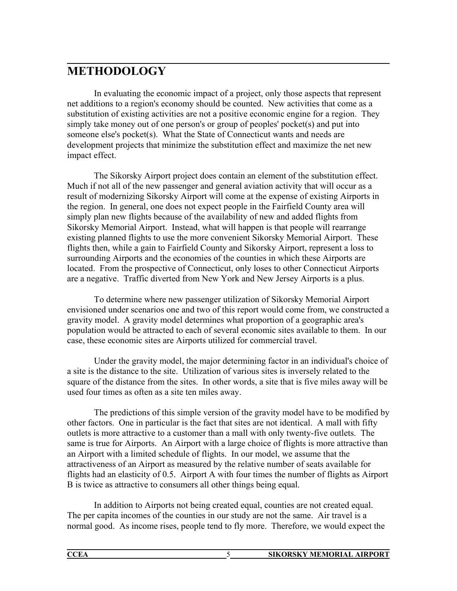# **METHODOLOGY**

In evaluating the economic impact of a project, only those aspects that represent net additions to a region's economy should be counted. New activities that come as a substitution of existing activities are not a positive economic engine for a region. They simply take money out of one person's or group of peoples' pocket(s) and put into someone else's pocket(s). What the State of Connecticut wants and needs are development projects that minimize the substitution effect and maximize the net new impact effect.

 The Sikorsky Airport project does contain an element of the substitution effect. Much if not all of the new passenger and general aviation activity that will occur as a result of modernizing Sikorsky Airport will come at the expense of existing Airports in the region. In general, one does not expect people in the Fairfield County area will simply plan new flights because of the availability of new and added flights from Sikorsky Memorial Airport. Instead, what will happen is that people will rearrange existing planned flights to use the more convenient Sikorsky Memorial Airport. These flights then, while a gain to Fairfield County and Sikorsky Airport, represent a loss to surrounding Airports and the economies of the counties in which these Airports are located. From the prospective of Connecticut, only loses to other Connecticut Airports are a negative. Traffic diverted from New York and New Jersey Airports is a plus.

 To determine where new passenger utilization of Sikorsky Memorial Airport envisioned under scenarios one and two of this report would come from, we constructed a gravity model. A gravity model determines what proportion of a geographic area's population would be attracted to each of several economic sites available to them. In our case, these economic sites are Airports utilized for commercial travel.

 Under the gravity model, the major determining factor in an individual's choice of a site is the distance to the site. Utilization of various sites is inversely related to the square of the distance from the sites. In other words, a site that is five miles away will be used four times as often as a site ten miles away.

 The predictions of this simple version of the gravity model have to be modified by other factors. One in particular is the fact that sites are not identical. A mall with fifty outlets is more attractive to a customer than a mall with only twenty-five outlets. The same is true for Airports. An Airport with a large choice of flights is more attractive than an Airport with a limited schedule of flights. In our model, we assume that the attractiveness of an Airport as measured by the relative number of seats available for flights had an elasticity of 0.5. Airport A with four times the number of flights as Airport B is twice as attractive to consumers all other things being equal.

 In addition to Airports not being created equal, counties are not created equal. The per capita incomes of the counties in our study are not the same. Air travel is a normal good. As income rises, people tend to fly more. Therefore, we would expect the

| <b>CCEA</b> | <b>SIKORSKY MEMORIAL AIRPORT</b> |
|-------------|----------------------------------|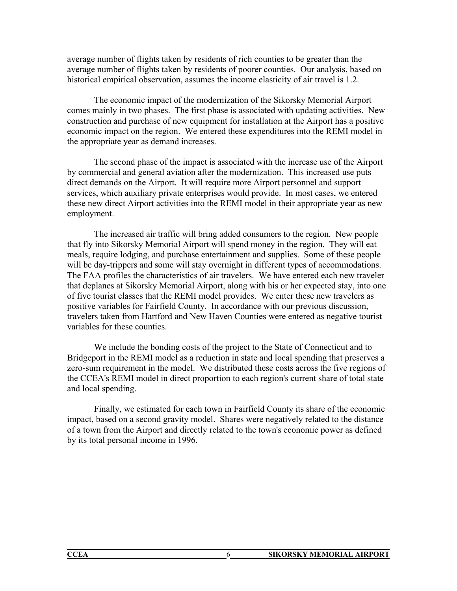average number of flights taken by residents of rich counties to be greater than the average number of flights taken by residents of poorer counties. Our analysis, based on historical empirical observation, assumes the income elasticity of air travel is 1.2.

 The economic impact of the modernization of the Sikorsky Memorial Airport comes mainly in two phases. The first phase is associated with updating activities. New construction and purchase of new equipment for installation at the Airport has a positive economic impact on the region. We entered these expenditures into the REMI model in the appropriate year as demand increases.

 The second phase of the impact is associated with the increase use of the Airport by commercial and general aviation after the modernization. This increased use puts direct demands on the Airport. It will require more Airport personnel and support services, which auxiliary private enterprises would provide. In most cases, we entered these new direct Airport activities into the REMI model in their appropriate year as new employment.

 The increased air traffic will bring added consumers to the region. New people that fly into Sikorsky Memorial Airport will spend money in the region. They will eat meals, require lodging, and purchase entertainment and supplies. Some of these people will be day-trippers and some will stay overnight in different types of accommodations. The FAA profiles the characteristics of air travelers. We have entered each new traveler that deplanes at Sikorsky Memorial Airport, along with his or her expected stay, into one of five tourist classes that the REMI model provides. We enter these new travelers as positive variables for Fairfield County. In accordance with our previous discussion, travelers taken from Hartford and New Haven Counties were entered as negative tourist variables for these counties.

 We include the bonding costs of the project to the State of Connecticut and to Bridgeport in the REMI model as a reduction in state and local spending that preserves a zero-sum requirement in the model. We distributed these costs across the five regions of the CCEA's REMI model in direct proportion to each region's current share of total state and local spending.

 Finally, we estimated for each town in Fairfield County its share of the economic impact, based on a second gravity model. Shares were negatively related to the distance of a town from the Airport and directly related to the town's economic power as defined by its total personal income in 1996.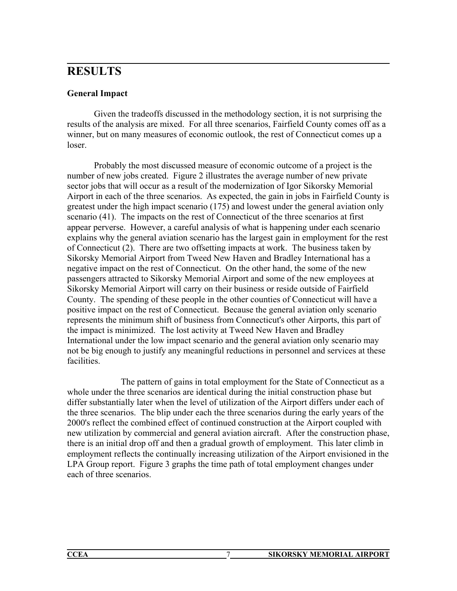# **RESULTS**

### **General Impact**

 Given the tradeoffs discussed in the methodology section, it is not surprising the results of the analysis are mixed. For all three scenarios, Fairfield County comes off as a winner, but on many measures of economic outlook, the rest of Connecticut comes up a loser.

 Probably the most discussed measure of economic outcome of a project is the number of new jobs created. Figure 2 illustrates the average number of new private sector jobs that will occur as a result of the modernization of Igor Sikorsky Memorial Airport in each of the three scenarios. As expected, the gain in jobs in Fairfield County is greatest under the high impact scenario (175) and lowest under the general aviation only scenario (41). The impacts on the rest of Connecticut of the three scenarios at first appear perverse. However, a careful analysis of what is happening under each scenario explains why the general aviation scenario has the largest gain in employment for the rest of Connecticut (2). There are two offsetting impacts at work. The business taken by Sikorsky Memorial Airport from Tweed New Haven and Bradley International has a negative impact on the rest of Connecticut. On the other hand, the some of the new passengers attracted to Sikorsky Memorial Airport and some of the new employees at Sikorsky Memorial Airport will carry on their business or reside outside of Fairfield County. The spending of these people in the other counties of Connecticut will have a positive impact on the rest of Connecticut. Because the general aviation only scenario represents the minimum shift of business from Connecticut's other Airports, this part of the impact is minimized. The lost activity at Tweed New Haven and Bradley International under the low impact scenario and the general aviation only scenario may not be big enough to justify any meaningful reductions in personnel and services at these facilities.

 The pattern of gains in total employment for the State of Connecticut as a whole under the three scenarios are identical during the initial construction phase but differ substantially later when the level of utilization of the Airport differs under each of the three scenarios. The blip under each the three scenarios during the early years of the 2000's reflect the combined effect of continued construction at the Airport coupled with new utilization by commercial and general aviation aircraft. After the construction phase, there is an initial drop off and then a gradual growth of employment. This later climb in employment reflects the continually increasing utilization of the Airport envisioned in the LPA Group report. Figure 3 graphs the time path of total employment changes under each of three scenarios.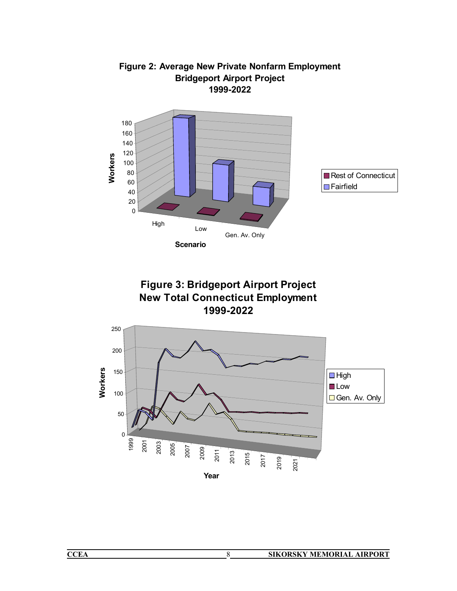

## **Figure 2: Average New Private Nonfarm Employment Bridgeport Airport Project 1999-2022**



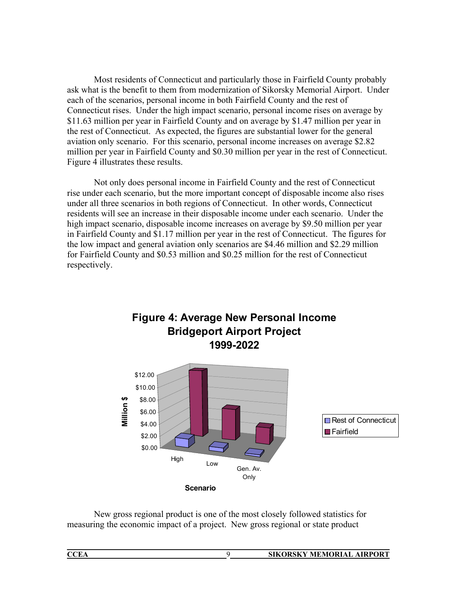Most residents of Connecticut and particularly those in Fairfield County probably ask what is the benefit to them from modernization of Sikorsky Memorial Airport. Under each of the scenarios, personal income in both Fairfield County and the rest of Connecticut rises. Under the high impact scenario, personal income rises on average by \$11.63 million per year in Fairfield County and on average by \$1.47 million per year in the rest of Connecticut. As expected, the figures are substantial lower for the general aviation only scenario. For this scenario, personal income increases on average \$2.82 million per year in Fairfield County and \$0.30 million per year in the rest of Connecticut. Figure 4 illustrates these results.

Not only does personal income in Fairfield County and the rest of Connecticut rise under each scenario, but the more important concept of disposable income also rises under all three scenarios in both regions of Connecticut. In other words, Connecticut residents will see an increase in their disposable income under each scenario. Under the high impact scenario, disposable income increases on average by \$9.50 million per year in Fairfield County and \$1.17 million per year in the rest of Connecticut. The figures for the low impact and general aviation only scenarios are \$4.46 million and \$2.29 million for Fairfield County and \$0.53 million and \$0.25 million for the rest of Connecticut respectively.

**Figure 4: Average New Personal Income** 



New gross regional product is one of the most closely followed statistics for measuring the economic impact of a project. New gross regional or state product

| <b>CCEA</b> | <b>SIKORSKY MEMORIAL AIRPORT</b> |
|-------------|----------------------------------|
|             |                                  |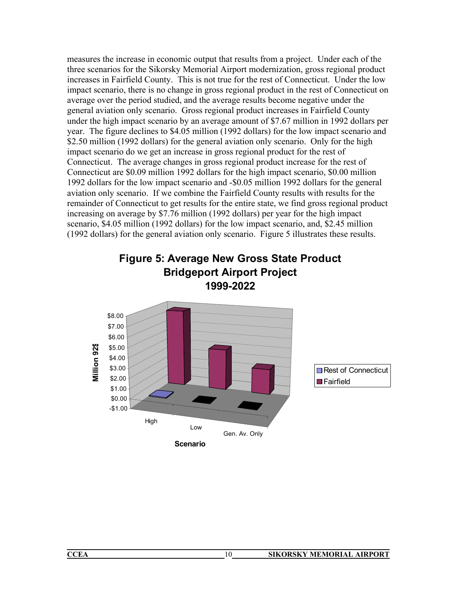measures the increase in economic output that results from a project. Under each of the three scenarios for the Sikorsky Memorial Airport modernization, gross regional product increases in Fairfield County. This is not true for the rest of Connecticut. Under the low impact scenario, there is no change in gross regional product in the rest of Connecticut on average over the period studied, and the average results become negative under the general aviation only scenario. Gross regional product increases in Fairfield County under the high impact scenario by an average amount of \$7.67 million in 1992 dollars per year. The figure declines to \$4.05 million (1992 dollars) for the low impact scenario and \$2.50 million (1992 dollars) for the general aviation only scenario. Only for the high impact scenario do we get an increase in gross regional product for the rest of Connecticut. The average changes in gross regional product increase for the rest of Connecticut are \$0.09 million 1992 dollars for the high impact scenario, \$0.00 million 1992 dollars for the low impact scenario and -\$0.05 million 1992 dollars for the general aviation only scenario. If we combine the Fairfield County results with results for the remainder of Connecticut to get results for the entire state, we find gross regional product increasing on average by \$7.76 million (1992 dollars) per year for the high impact scenario, \$4.05 million (1992 dollars) for the low impact scenario, and, \$2.45 million (1992 dollars) for the general aviation only scenario. Figure 5 illustrates these results.

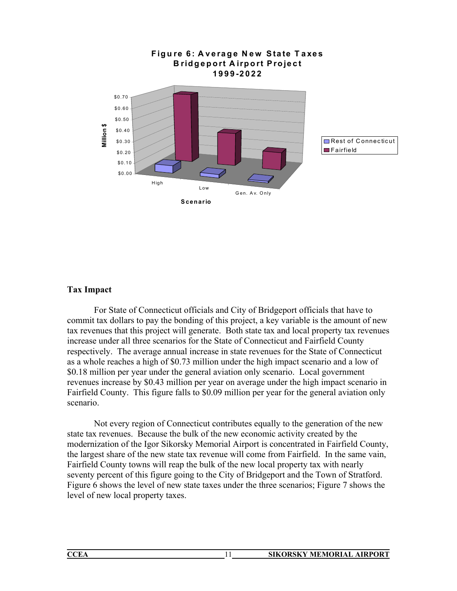

### **Tax Impact**

For State of Connecticut officials and City of Bridgeport officials that have to commit tax dollars to pay the bonding of this project, a key variable is the amount of new tax revenues that this project will generate. Both state tax and local property tax revenues increase under all three scenarios for the State of Connecticut and Fairfield County respectively. The average annual increase in state revenues for the State of Connecticut as a whole reaches a high of \$0.73 million under the high impact scenario and a low of \$0.18 million per year under the general aviation only scenario. Local government revenues increase by \$0.43 million per year on average under the high impact scenario in Fairfield County. This figure falls to \$0.09 million per year for the general aviation only scenario.

Not every region of Connecticut contributes equally to the generation of the new state tax revenues. Because the bulk of the new economic activity created by the modernization of the Igor Sikorsky Memorial Airport is concentrated in Fairfield County, the largest share of the new state tax revenue will come from Fairfield. In the same vain, Fairfield County towns will reap the bulk of the new local property tax with nearly seventy percent of this figure going to the City of Bridgeport and the Town of Stratford. Figure 6 shows the level of new state taxes under the three scenarios; Figure 7 shows the level of new local property taxes.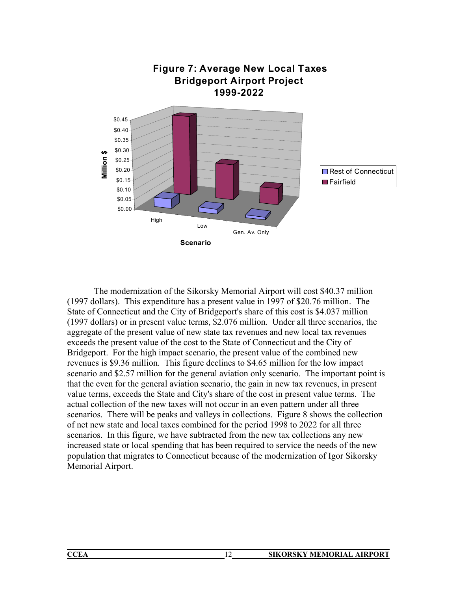

The modernization of the Sikorsky Memorial Airport will cost \$40.37 million (1997 dollars). This expenditure has a present value in 1997 of \$20.76 million. The State of Connecticut and the City of Bridgeport's share of this cost is \$4.037 million (1997 dollars) or in present value terms, \$2.076 million. Under all three scenarios, the aggregate of the present value of new state tax revenues and new local tax revenues exceeds the present value of the cost to the State of Connecticut and the City of Bridgeport. For the high impact scenario, the present value of the combined new revenues is \$9.36 million. This figure declines to \$4.65 million for the low impact scenario and \$2.57 million for the general aviation only scenario. The important point is that the even for the general aviation scenario, the gain in new tax revenues, in present value terms, exceeds the State and City's share of the cost in present value terms. The actual collection of the new taxes will not occur in an even pattern under all three scenarios. There will be peaks and valleys in collections. Figure 8 shows the collection of net new state and local taxes combined for the period 1998 to 2022 for all three scenarios. In this figure, we have subtracted from the new tax collections any new increased state or local spending that has been required to service the needs of the new population that migrates to Connecticut because of the modernization of Igor Sikorsky Memorial Airport.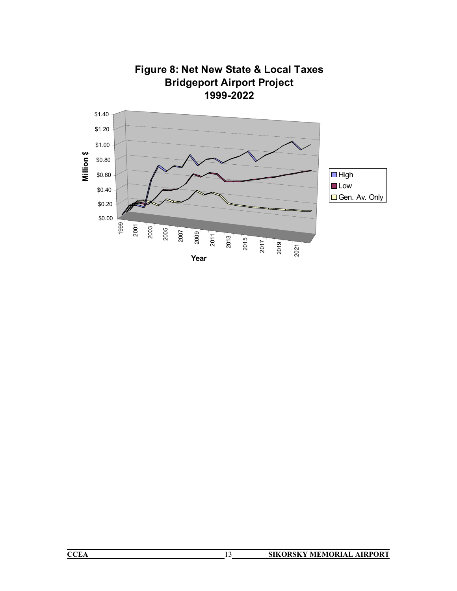

| Figure 8: Net New State & Local Taxes |
|---------------------------------------|
| <b>Bridgeport Airport Project</b>     |
| 1999-2022                             |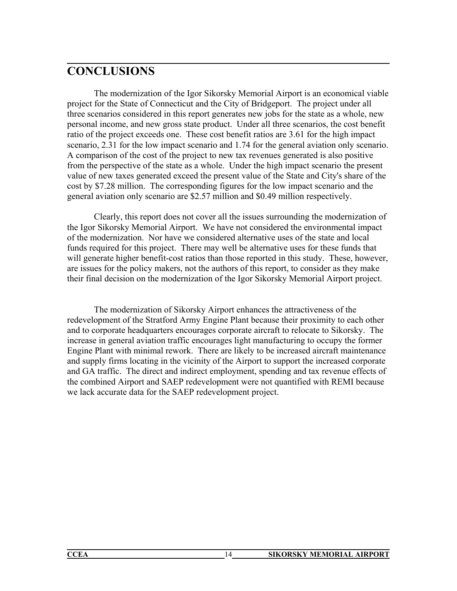# **CONCLUSIONS**

The modernization of the Igor Sikorsky Memorial Airport is an economical viable project for the State of Connecticut and the City of Bridgeport. The project under all three scenarios considered in this report generates new jobs for the state as a whole, new personal income, and new gross state product. Under all three scenarios, the cost benefit ratio of the project exceeds one. These cost benefit ratios are 3.61 for the high impact scenario, 2.31 for the low impact scenario and 1.74 for the general aviation only scenario. A comparison of the cost of the project to new tax revenues generated is also positive from the perspective of the state as a whole. Under the high impact scenario the present value of new taxes generated exceed the present value of the State and City's share of the cost by \$7.28 million. The corresponding figures for the low impact scenario and the general aviation only scenario are \$2.57 million and \$0.49 million respectively.

 Clearly, this report does not cover all the issues surrounding the modernization of the Igor Sikorsky Memorial Airport. We have not considered the environmental impact of the modernization. Nor have we considered alternative uses of the state and local funds required for this project. There may well be alternative uses for these funds that will generate higher benefit-cost ratios than those reported in this study. These, however, are issues for the policy makers, not the authors of this report, to consider as they make their final decision on the modernization of the Igor Sikorsky Memorial Airport project.

 The modernization of Sikorsky Airport enhances the attractiveness of the redevelopment of the Stratford Army Engine Plant because their proximity to each other and to corporate headquarters encourages corporate aircraft to relocate to Sikorsky. The increase in general aviation traffic encourages light manufacturing to occupy the former Engine Plant with minimal rework. There are likely to be increased aircraft maintenance and supply firms locating in the vicinity of the Airport to support the increased corporate and GA traffic. The direct and indirect employment, spending and tax revenue effects of the combined Airport and SAEP redevelopment were not quantified with REMI because we lack accurate data for the SAEP redevelopment project.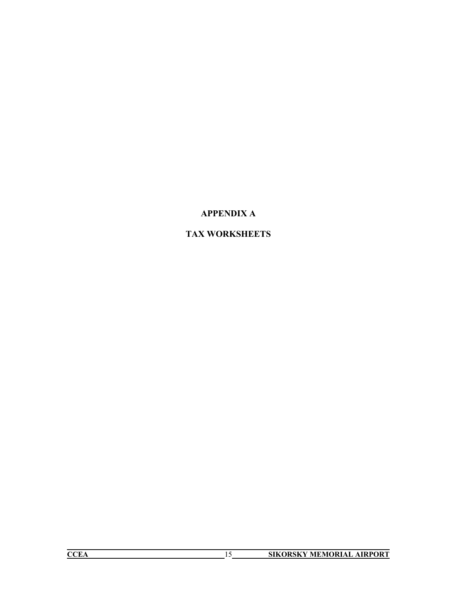## **APPENDIX A**

## **TAX WORKSHEETS**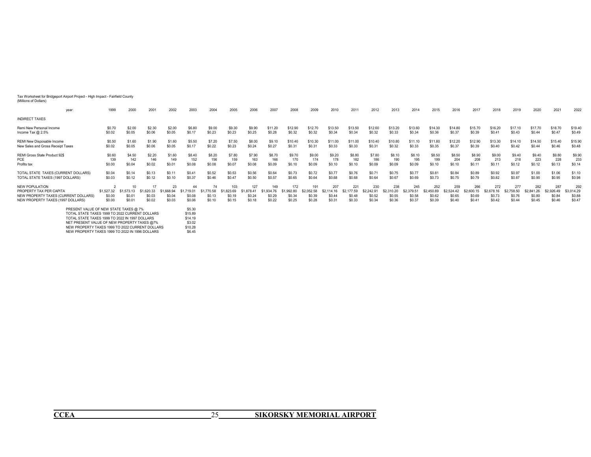#### Tax Worksheet for Bridgeport Airport Project - High Impact - Fairfield County (Millions of Dollars)

| year:                                                                                                                                     | 1999                           | 2000                           | 2001                             | 2002                               | 2003                                 | 2004                           | 2005                               | 2006                                  | 2007                           | 2008                               | 2009                                  | 2010                                  | 2011                                  | 2012                                  | 2013                                  | 2014                                  | 2015                                  | 2016                    | 2017                                  | 2018                                  | 2019                                  | 2020                                  | 2021                                  | 2022                                  |
|-------------------------------------------------------------------------------------------------------------------------------------------|--------------------------------|--------------------------------|----------------------------------|------------------------------------|--------------------------------------|--------------------------------|------------------------------------|---------------------------------------|--------------------------------|------------------------------------|---------------------------------------|---------------------------------------|---------------------------------------|---------------------------------------|---------------------------------------|---------------------------------------|---------------------------------------|-------------------------|---------------------------------------|---------------------------------------|---------------------------------------|---------------------------------------|---------------------------------------|---------------------------------------|
| <b>INDIRECT TAXES</b>                                                                                                                     |                                |                                |                                  |                                    |                                      |                                |                                    |                                       |                                |                                    |                                       |                                       |                                       |                                       |                                       |                                       |                                       |                         |                                       |                                       |                                       |                                       |                                       |                                       |
| Remi New Personal Income                                                                                                                  | \$0.70                         | \$2.00                         | \$2.30                           | \$2.00                             | \$6.80                               | \$9.00                         | \$9.30                             | \$9.90                                | \$11.20                        | \$12.90                            | \$12.70                               | \$13.50                               | \$13.50                               | \$12.60                               | \$13.20                               | \$13.60                               | \$14.30                               | \$14.80                 | \$15.70                               | \$16.20                               | \$17.10                               | \$17.70                               | \$18.70                               | \$19.40                               |
| Income Tax $@2.5\%$                                                                                                                       | \$0.02                         | \$0.05                         | \$0.06                           | \$0.05                             | \$0.17                               | \$0.23                         | \$0.23                             | \$0.25                                | \$0.28                         | \$0.32                             | \$0.32                                | \$0.34                                | \$0.34                                | \$0.32                                | \$0.33                                | \$0.34                                | \$0.36                                | \$0.37                  | \$0.39                                | \$0.41                                | \$0.43                                | \$0.44                                | \$0.47                                | \$0.49                                |
| REMI New Disposable Income                                                                                                                | \$0.50                         | \$1.60                         | \$1.90                           | \$1.60                             | \$5.50                               | \$7.20                         | \$7.50                             | \$8.00                                | \$9.10                         | \$10.40                            | \$10.30                               | \$11.00                               | \$11.00                               | \$10.40                               | \$10.80                               | \$11.10                               | \$11.80                               | \$12.20                 | \$12.90                               | \$13.30                               | \$14.10                               | \$14.50                               | \$15.40                               | \$15.90                               |
| New Sales and Gross Receipt Taxes                                                                                                         | \$0.02                         | \$0.05                         | \$0.06                           | \$0.05                             | \$0.17                               | \$0.22                         | \$0.23                             | \$0.24                                | \$0.27                         | \$0.31                             | \$0.31                                | \$0.33                                | \$0.33                                | \$0.31                                | \$0.32                                | \$0.33                                | \$0.35                                | \$0.37                  | \$0.39                                | \$0.40                                | \$0.42                                | \$0.44                                | \$0.46                                | \$0.48                                |
| REMI Gross State Product 92\$                                                                                                             | \$0.60                         | \$4.50                         | \$2.20                           | \$1.60                             | \$8.40                               | \$8.20                         | \$7.80                             | \$7.90                                | \$8.70                         | \$9.70                             | \$9.00                                | \$9.20                                | \$8.80                                | \$7.80                                | \$8.10                                | \$8.10                                | \$8.50                                | \$8.50                  | \$8.90                                | \$9.00                                | \$9.40                                | \$9.40                                | \$9.80                                | \$9.90                                |
| PCE                                                                                                                                       | 139                            | 142                            | 146                              | 149                                | 152                                  | 156                            | 159                                | 163                                   | 166                            | 170                                | 174                                   | 178                                   | 182                                   | 186                                   | 190                                   | 195                                   | 199                                   | 204                     | 208                                   | 213                                   | 218                                   | 223                                   | 228                                   | 233                                   |
| Profits tax                                                                                                                               | \$0.00                         | \$0.04                         | \$0.02                           | \$0.01                             | \$0.08                               | \$0.08                         | \$0.07                             | \$0.08                                | \$0.09                         | \$0.10                             | \$0.09                                | \$0.10                                | \$0.10                                | \$0.09                                | \$0.09                                | \$0.09                                | \$0.10                                | \$0.10                  | \$0.11                                | \$0.11                                | \$0.12                                | \$0.12                                | \$0.13                                | \$0.14                                |
| TOTAL STATE TAXES (CURRENT DOLLARS)                                                                                                       | \$0.04                         | \$0.14                         | \$0.13                           | \$0.11                             | \$0.41                               | \$0.52                         | \$0.53                             | \$0.56                                | \$0.64                         | \$0.73                             | \$0.72                                | \$0.77                                | \$0.76                                | \$0.71                                | \$0.75                                | \$0.77                                | \$0.81                                | \$0.84                  | \$0.89                                | \$0.92                                | \$0.97                                | \$1.00                                | \$1.06                                | \$1.10                                |
| TOTAL STATE TAXES (1997 DOLLARS)                                                                                                          | \$0.03                         | \$0.12                         | \$0.12                           | \$0.10                             | \$0.37                               | \$0.46                         | \$0.47                             | \$0.50                                | \$0.57                         | \$0.65                             | \$0.64                                | \$0.68                                | \$0.68                                | \$0.64                                | \$0.67                                | \$0.69                                | \$0.73                                | \$0.75                  | \$0.79                                | \$0.82                                | \$0.87                                | \$0.90                                | \$0.95                                | \$0.98                                |
| <b>NEW POPULATION</b><br>PROPERTY TAX PER CAPITA<br>NEW PROPERTY TAXES (CURRENT DOLLARS)<br>NEW PROPERTY TAXES (1997 DOLLARS)             | \$1,527.32<br>\$0.00<br>\$0.00 | \$1,573.13<br>\$0.01<br>\$0.01 | 17<br>620.33<br>\$0.03<br>\$0.02 | 23<br>1.668.94<br>\$0.04<br>\$0.03 | 44<br>\$1,719.01<br>\$0.08<br>\$0.06 | 74<br>0.58<br>\$0.13<br>\$0.10 | 103<br>.823.69<br>\$0.19<br>\$0.15 | 127<br>\$1.878.41<br>\$0.24<br>\$0.18 | 149<br>934<br>\$0.29<br>\$0.22 | 172<br>.992.80<br>\$0.34<br>\$0.25 | 191<br>\$2,052.58<br>\$0.39<br>\$0.28 | 207<br>82<br>114.<br>\$0.44<br>\$0.31 | 221<br>\$2,177.59<br>\$0.48<br>\$0.33 | 230<br>\$2,242.91<br>\$0.52<br>\$0.34 | 238<br>\$2,310.20<br>\$0.55<br>\$0.36 | 245<br>\$2,379.51<br>\$0.58<br>\$0.37 | 252<br>\$2,450.89<br>\$0.62<br>\$0.39 | 259<br>\$0.65<br>\$0.40 | 266<br>\$2,600.15<br>\$0.69<br>\$0.41 | 272<br>\$2,678.16<br>\$0.73<br>\$0.42 | 277<br>\$2,758.50<br>\$0.76<br>\$0.44 | 282<br>\$2,841.26<br>\$0.80<br>\$0.45 | 287<br>\$2,926.49<br>\$0.84<br>\$0.46 | 292<br>\$3,014.29<br>\$0.88<br>\$0.47 |
| PRESENT VALUE OF NEW STATE TAXES @ 7%<br>TOTAL STATE TAXES 1999 TO 2022 CURRENT DOLLARS<br>TOTAL STATE TAXES 1999 TO 2022 IN 1997 DOLLARS |                                |                                |                                  |                                    | \$5.30<br>\$15.89<br>\$14.19         |                                |                                    |                                       |                                |                                    |                                       |                                       |                                       |                                       |                                       |                                       |                                       |                         |                                       |                                       |                                       |                                       |                                       |                                       |

TOTAL STATE TAXES 1999 TO 2022 CURRENT DOLLARS \$15.89<br>TOTAL STATE TAXES 1999 TO 2022 IN 1997 DOLLARS \$14.19<br>NET PRESENT VALUE OF NEW PROPERTY TAXES @7% \$3.02<br>NEW PROPERTY TAXES 1999 TO 2022 CURRENT DOLLARS \$10.28 NEW PROPERTY TAXES 1999 TO 2022 IN 1996 DOLLARS \$6.45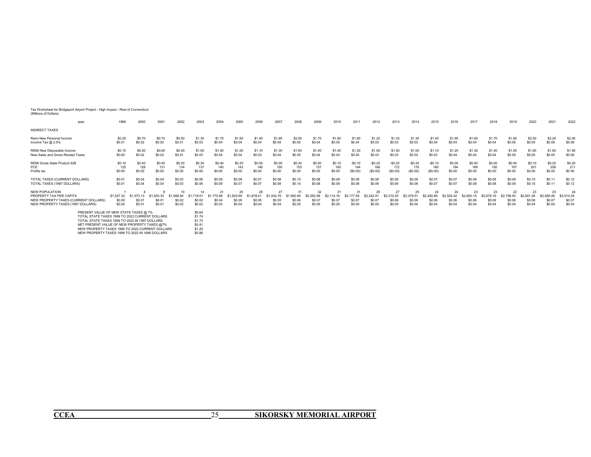Tax Worksheet for Bridgeport Airport Project - High Impact - Rest of Connecticut (Millions of Dollars)

| year:                                                                                                                                     | 1999                           | 2000                           | 2001             | 2002             | 2003                       | 2004                   | 2005                   | 2006                   | 2007                   | 2008             | 2009                                 | 2010                   | 2011                   | 2012                                | 2013                   | 2014                   | 2015                                 | 2016                                 | 2017                   | 2018                   | 2019                   | 2020                   | 2021                                 | 2022                                 |
|-------------------------------------------------------------------------------------------------------------------------------------------|--------------------------------|--------------------------------|------------------|------------------|----------------------------|------------------------|------------------------|------------------------|------------------------|------------------|--------------------------------------|------------------------|------------------------|-------------------------------------|------------------------|------------------------|--------------------------------------|--------------------------------------|------------------------|------------------------|------------------------|------------------------|--------------------------------------|--------------------------------------|
| <b>INDIRECT TAXES</b>                                                                                                                     |                                |                                |                  |                  |                            |                        |                        |                        |                        |                  |                                      |                        |                        |                                     |                        |                        |                                      |                                      |                        |                        |                        |                        |                                      |                                      |
| Remi New Personal Income                                                                                                                  | \$0.20                         | \$0.70                         | \$0.70           | \$0.50           | \$1.30                     | \$1.70                 | \$1.50                 | \$1.40                 | \$1.60                 | \$2.00           | \$1.70                               | \$1.80                 | \$1.60                 | \$1.20                              | \$1.30                 | \$1.30                 | \$1.40                               | \$1.50                               | \$1.60                 | \$1.70                 | \$1.90                 | \$2.00                 | \$2.20                               | \$2.40                               |
| Income Tax $@2.5\%$                                                                                                                       | \$0.01                         | \$0.02                         | \$0.02           | \$0.01           | \$0.03                     | \$0.04                 | \$0.04                 | \$0.04                 | \$0.04                 | \$0.05           | \$0.04                               | \$0.05                 | \$0.04                 | \$0.03                              | \$0.03                 | \$0.03                 | \$0.04                               | \$0.04                               | \$0.04                 | \$0.04                 | \$0.05                 | \$0.05                 | \$0.06                               | \$0.06                               |
| REMI New Disposable Income                                                                                                                | \$0.10                         | \$0.50                         | \$0.60           | \$0.40           | \$1.00                     | \$1.40                 | \$1.20                 | \$1.10                 | \$1.30                 | \$1.60           | \$1.40                               | \$1.40                 | \$1.30                 | \$1.00                              | \$1.00                 | \$1.00                 | \$1.10                               | \$1.20                               | \$1.30                 | \$1.40                 | \$1.50                 | \$1.60                 | \$1.80                               | \$1.90                               |
| New Sales and Gross Receipt Taxes                                                                                                         | \$0.00                         | \$0.02                         | \$0.02           | \$0.01           | \$0.03                     | \$0.04                 | \$0.04                 | \$0.03                 | \$0.04                 | \$0.05           | \$0.04                               | \$0.04                 | \$0.04                 | \$0.03                              | \$0.03                 | \$0.03                 | \$0.03                               | \$0.04                               | \$0.04                 | \$0.04                 | \$0.05                 | \$0.05                 | \$0.05                               | \$0.06                               |
| REMI Gross State Product 92\$                                                                                                             | \$0.10                         | \$0.40                         | \$0.40           | \$0.20           | \$0.30                     | \$0.40                 | \$0.20                 | \$0.00                 | \$0.00                 | \$0.30           | \$0.00                               | \$0.10                 | $-$0.10$               | $-$0.20$                            | $-$0.20$               | $-$0.20$               | $-$0.10$                             | \$0.00                               | \$0.00                 | \$0.00                 | \$0.00                 | \$0.10                 | \$0.20                               | \$0.20                               |
| PCE                                                                                                                                       | 125                            | 128                            | 131              | 134              | 137                        | 140                    | 143                    | 146                    | 150                    | 153              | 157                                  | 160                    | 164                    | 168                                 | 172                    | 176                    | 180                                  | 184                                  | 188                    | 192                    | 197                    | 201                    | 206                                  | 211                                  |
| Profits tax                                                                                                                               | \$0.00                         | \$0.00                         | \$0.00           | \$0.00           | \$0.00                     | \$0.00                 | \$0.00                 | \$0.00                 | \$0.00                 | \$0.00           | \$0.00                               | \$0.00                 | (S0.00)                | (S0.00)                             | (S0.00)                | (S0.00)                | (S0.00)                              | \$0.00                               | \$0.00                 | \$0.00                 | \$0.00                 | \$0.00                 | \$0.00                               | \$0.00                               |
| TOTAL TAXES (CURRENT DOLLARS)                                                                                                             | \$0.01                         | \$0.04                         | \$0.04           | \$0.03           | \$0.06                     | \$0.09                 | \$0.08                 | \$0.07                 | \$0.08                 | \$0.10           | \$0.08                               | \$0.09                 | \$0.08                 | \$0.06                              | \$0.06                 | \$0.06                 | \$0.07                               | \$0.07                               | \$0.08                 | \$0.08                 | \$0.09                 | \$0.10                 | \$0.11                               | \$0.12                               |
| TOTAL TAXES (1997 DOLLARS)                                                                                                                | \$0.01                         | \$0.04                         | \$0.04           | \$0.03           | \$0.06                     | \$0.09                 | \$0.07                 | \$0.07                 | \$0.08                 | \$0.10           | \$0.08                               | \$0.09                 | \$0.08                 | \$0.06                              | \$0.06                 | \$0.06                 | \$0.07                               | \$0.07                               | \$0.08                 | \$0.08                 | \$0.09                 | \$0.10                 | \$0.11                               | \$0.12                               |
| NEW POPULATION<br>PROPERTY TAX PER CAPITA<br>NEW PROPERTY TAXES (CURRENT DOLLARS)<br>NEW PROPERTY TAXES (1997 DOLLARS)                    | \$1,527,32<br>\$0.00<br>\$0.00 | \$1,573,13<br>\$0.01<br>\$0.01 | \$0.01<br>\$0.01 | \$0.02<br>\$0.02 | 14<br>\$0.02<br>\$0.02     | 21<br>\$0.04<br>\$0.03 | 25<br>\$0.05<br>\$0.04 | 26<br>\$0.05<br>\$0.04 | 27<br>\$0.05<br>\$0.04 | \$0.06<br>\$0.05 | 32<br>\$2.052.58<br>\$0.07<br>\$0.05 | 31<br>\$0.07<br>\$0.05 | 31<br>\$0.07<br>\$0.05 | 29<br>\$2,242.9<br>\$0.07<br>\$0.05 | 27<br>\$0.06<br>\$0.05 | 25<br>\$0.06<br>\$0.04 | 24<br>\$2,450.89<br>\$0.06<br>\$0.04 | 24<br>\$2,524.42<br>\$0.06<br>\$0.04 | 23<br>\$0.06<br>\$0.04 | 23<br>\$0.06<br>\$0.04 | 22<br>\$0.06<br>\$0.04 | 23<br>\$0.06<br>\$0.04 | 23<br>\$2,926.49<br>\$0.07<br>\$0.04 | 24<br>\$3,014.29<br>\$0.07<br>\$0.04 |
| PRESENT VALUE OF NEW STATE TAXES @ 7%<br>TOTAL STATE TAXES 1999 TO 2022 CURRENT DOLLARS<br>TOTAL STATE TAXES 1999 TO 2022 IN 1997 DOLLARS |                                |                                |                  |                  | \$0.64<br>\$1.74<br>\$1.73 |                        |                        |                        |                        |                  |                                      |                        |                        |                                     |                        |                        |                                      |                                      |                        |                        |                        |                        |                                      |                                      |

TOTAL STATE TAXES 1999 TO 2022 IN 1997 DOLLARS<br>NET PRESENT VALUE OF NEW PROPERTY TAXES @7% \$0.41<br>NEW PROPERTY TAXES 1999 TO 2022 CURRENT DOLLARS \$1.20<br>NEW PROPERTY TAXES 1999 TO 2022 IN 1996 DOLLARS \$1.88  $$0.41$ <br> $$1.20$ 

\$0.88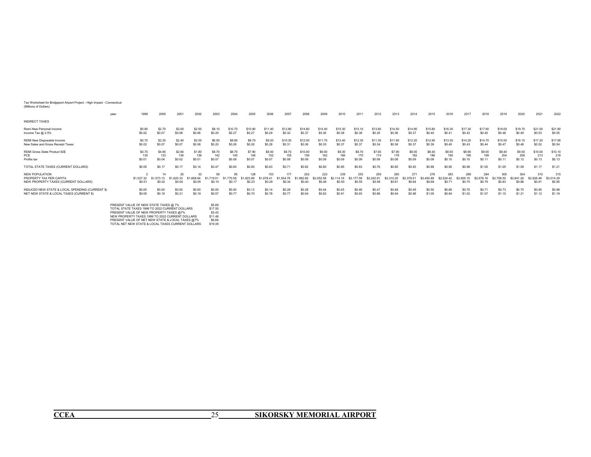Tax Worksheet for Bridgeport Airport Project - High Impact - Connecticut (Millions of Dollars)

|                                                                                   | 1999<br>year:        | 2000                       | 2001               | 2002                  | 2003   | 2004                       | 2005    | 2006          | 2007    | 2008    | 2009                 | 2010          | 2011                        | 2012                        | 2013                                   | 2014          | 2015                        | 2016                        | 2017          | 2018                            | 2019                        | 2020                        | 2021                        | 2022                        |
|-----------------------------------------------------------------------------------|----------------------|----------------------------|--------------------|-----------------------|--------|----------------------------|---------|---------------|---------|---------|----------------------|---------------|-----------------------------|-----------------------------|----------------------------------------|---------------|-----------------------------|-----------------------------|---------------|---------------------------------|-----------------------------|-----------------------------|-----------------------------|-----------------------------|
| <b>INDIRECT TAXES</b>                                                             |                      |                            |                    |                       |        |                            |         |               |         |         |                      |               |                             |                             |                                        |               |                             |                             |               |                                 |                             |                             |                             |                             |
| Remi New Personal Income                                                          | \$0.80               | \$2.70                     | \$3.00             | \$2.50                | \$8.10 | \$10.70                    | \$10.90 | \$11.40       | \$12.80 | \$14.80 | \$14.40              | \$15.30       | \$15.10                     | \$13.80                     | \$14.50                                | \$14.90       | \$15.80                     | \$16.30                     | \$17.30       | \$17.90                         | \$19.00                     | \$19.70                     | \$21.00                     | \$21.80                     |
| Income Tax @ 2.5%                                                                 | \$0.02               | \$0.07                     | \$0.08             | \$0.06                | \$0.20 | \$0.27                     | \$0.27  | \$0.29        | \$0.32  | \$0.37  | \$0.36               | \$0.38        | \$0.38                      | \$0.35                      | \$0.36                                 | \$0.37        | \$0.40                      | \$0.41                      | \$0.43        | \$0.45                          | \$0.48                      | \$0.49                      | \$0.53                      | \$0.55                      |
| REMI New Disposable Income                                                        | \$0.70               | \$2.20                     | \$2.40             | \$2.00                | \$6.50 | \$8.60                     | \$8.70  | \$9.20        | \$10.30 | \$12.00 | \$11.70              | \$12.40       | \$12.30                     | \$11.30                     | \$11.90                                | \$12.20       | \$12.90                     | \$13.30                     | \$14.20       | \$14.70                         | \$15.50                     | \$16.10                     | \$17.20                     | \$17.90                     |
| New Sales and Gross Receipt Taxes                                                 | \$0.02               | \$0.07                     | \$0.07             | \$0.06                | \$0.20 | \$0.26                     | \$0.26  | \$0.28        | \$0.31  | \$0.36  | \$0.35               | \$0.37        | \$0.37                      | \$0.34                      | \$0.36                                 | \$0.37        | \$0.39                      | \$0.40                      | \$0.43        | \$0.44                          | \$0.47                      | \$0.48                      | \$0.52                      | \$0.54                      |
| REMI Gross State Product 92\$                                                     | \$0.70               | \$4.90                     | \$2.60             | \$1.80                | \$8.70 | \$8.70                     | \$7.90  | \$8.00        | \$8.70  | \$10.00 | \$9.00               | \$9.30        | \$8.70                      | \$7.60                      | \$7.90                                 | \$8.00        | \$8.40                      | \$8.50                      | \$8.90        | \$9.00                          | \$9.40                      | \$9.50                      | \$10.00                     | \$10.10                     |
| PCE                                                                               | 130                  | 133                        | 136                | 139                   | 142    | 145                        | 148     | 152           | 155     | 159     | 162                  | 166           | 170                         | 174                         | 178                                    | 182           | 186                         | 190                         | 195           | 199                             | 204                         | 208                         | 213                         | 218                         |
| Profits tax                                                                       | \$0.01               | \$0.04                     | \$0.02             | \$0.01                | \$0.07 | \$0.08                     | \$0.07  | \$0.07        | \$0.08  | \$0.09  | \$0.09               | \$0.09        | \$0.09                      | \$0.08                      | \$0.08                                 | \$0.09        | \$0.09                      | \$0.10                      | \$0.10        | \$0.11                          | \$0.11                      | \$0.12                      | \$0.13                      | \$0.13                      |
| TOTAL STATE TAXES (CURRENT DOLLARS)                                               | \$0.05               | \$0.17                     | \$0.17             | \$0.14                | \$0.47 | \$0.60                     | \$0.60  | \$0.63        | \$0.71  | \$0.82  | \$0.80               | \$0.85        | \$0.83                      | \$0.76                      | \$0.80                                 | \$0.83        | \$0.88                      | \$0.90                      | \$0.96        | \$1.00                          | \$1.05                      | \$1.09                      | \$1.17                      | \$1.21                      |
| NEW POPULATION<br>PROPERTY TAX PER CAPITA<br>NEW PROPERTY TAXES (CURRENT DOLLARS) | \$1,527.32<br>\$0.01 | 14<br>\$1,573,13<br>\$0.02 | \$162033<br>\$0.04 | 33<br>1 668<br>\$0.05 | \$0.10 | 95<br>\$1 770 58<br>\$0.17 | \$0.23  | 153<br>\$0.29 | \$0.34  | \$0.40  | \$2,052.58<br>\$0.46 | 239<br>\$0.50 | 253<br>\$2,177.59<br>\$0.55 | 259<br>\$2,242.91<br>\$0.58 | 265<br>\$2 310 20<br>S <sub>0.61</sub> | 271<br>\$0.64 | 276<br>\$2 450 89<br>\$0.68 | 283<br>\$2,524.42<br>\$0.71 | 289<br>\$0.75 | 294<br><b>\$2.678</b><br>\$0.79 | 300<br>\$2,758.50<br>\$0.83 | 304<br>\$2 841 26<br>\$0.86 | 310<br>\$2,926.49<br>\$0.91 | 315<br>\$3,014.29<br>\$0.95 |
| INDUCED NEW STATE & LOCAL SPENDING (CURRENT \$)                                   | \$0.00               | \$0.00                     | \$0.00             | \$0.00                | \$0.00 | \$0.00                     | \$0.13  | \$0.14        | \$0.28  | \$0.28  | \$0.44               | \$0.45        | \$0.46                      | \$0.47                      | \$0.48                                 | \$0.49        | \$0.50                      | \$0.68                      | \$0.70        | \$0.71                          | \$0.73                      | \$0.75                      | \$0.95                      | \$0.98                      |
| NET NEW STATE & LOCAL TAXES (CURRENT \$)                                          | \$0.05               | \$0.19                     | \$0.21             | \$0.19                | \$0.57 | \$0.7                      | \$0.70  | \$0.78        | \$0.77  | \$0.94  | \$0.82               | \$0.91        | \$0.93                      | \$0.88                      | \$0.94                                 | \$0.98        | \$1.05                      | \$0.94                      | \$1.02        | \$1.07                          | \$1.15                      | \$1.21                      | \$1.12                      | \$1.19                      |

| PRESENT VALUE OF NEW STATE TAXES @ 7%             | \$5.89       |
|---------------------------------------------------|--------------|
| TOTAL STATE TAXES 1999 TO 2022 CURRENT DOLLARS    | \$17.50      |
| PRESENT VALUE OF NEW PROPERTY TAXES @7%           | \$3.43       |
| NEW PROPERTY TAXES 1999 TO 2022 CURRENT DOLLARS   | \$11.48      |
| PRESENT VALUE OF NET NEW STATE & LOCAL TAXES @7%  | <b>S6.66</b> |
| TOTAL NET NEW STATE & LOCAL TAXES CURRENT DOLLARS | \$19.39      |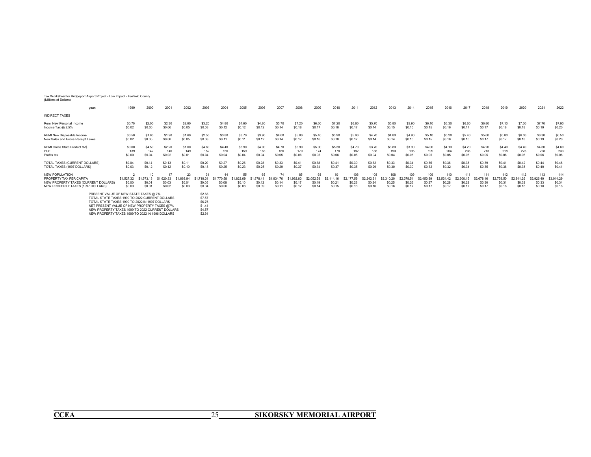#### Tax Worksheet for Bridgeport Airport Project - Low Impact - Fairfield County (Millions of Dollars)

| year.                                                                                                                                     | 1999                           | 2000                                 | 2001                           | 2002                              | 2003                                 | 2004                           | 2005                    | 2006                                 | 2007                    | 2008                               | 2009                                            | 2010                           | 2011                    | 2012                                | 2013                                  | 2014                                  | 2015                                  | 2016                                  | 2017                    | 2018                                  | 2019                                  | 2020                                  | 2021                                  | 2022                                  |
|-------------------------------------------------------------------------------------------------------------------------------------------|--------------------------------|--------------------------------------|--------------------------------|-----------------------------------|--------------------------------------|--------------------------------|-------------------------|--------------------------------------|-------------------------|------------------------------------|-------------------------------------------------|--------------------------------|-------------------------|-------------------------------------|---------------------------------------|---------------------------------------|---------------------------------------|---------------------------------------|-------------------------|---------------------------------------|---------------------------------------|---------------------------------------|---------------------------------------|---------------------------------------|
| <b>INDIRECT TAXES</b>                                                                                                                     |                                |                                      |                                |                                   |                                      |                                |                         |                                      |                         |                                    |                                                 |                                |                         |                                     |                                       |                                       |                                       |                                       |                         |                                       |                                       |                                       |                                       |                                       |
| Remi New Personal Income<br>Income Tax $@2.5\%$                                                                                           | \$0.70<br>\$0.02               | \$2.00<br>\$0.05                     | \$2.30<br>\$0.06               | \$2.00<br>\$0.05                  | \$3.20<br>\$0.08                     | \$4.80<br>\$0.12               | \$4.60<br>\$0.12        | \$4.80<br>\$0.12                     | \$5.70<br>\$0.14        | \$7.20<br>\$0.18                   | \$6.60<br>\$0.17                                | \$7.20<br>\$0.18               | \$6.80<br>\$0.17        | \$5.70<br>\$0.14                    | \$5.80<br>\$0.15                      | \$5.90<br>\$0.15                      | \$6.10<br>\$0.15                      | \$6.30<br>\$0.16                      | \$6.60<br>\$0.17        | \$6.80<br>\$0.17                      | \$7.10<br>\$0.18                      | \$7.30<br>\$0.18                      | \$7.70<br>\$0.19                      | \$7.90<br>\$0.20                      |
| REMI New Disposable Income<br>New Sales and Gross Receipt Taxes                                                                           | \$0.50<br>\$0.02               | \$1.60<br>\$0.05                     | \$1.90<br>\$0.06               | \$1.60<br>\$0.05                  | \$2.50<br>\$0.08                     | \$3.80<br>S <sub>0.11</sub>    | \$3.70<br>\$0.11        | \$3.90<br>\$0.12                     | \$4.60<br>\$0.14        | \$5.80<br>\$0.17                   | \$5.40<br>\$0.16                                | \$5.90<br>\$0.18               | \$5.60<br>\$0.17        | \$4.70<br>\$0.14                    | \$4.80<br>\$0.14                      | \$4.90<br>\$0.15                      | \$5.10<br><b>SO.15</b>                | \$5.20<br>\$0.16                      | \$5.40<br>\$0.16        | \$5.60<br>\$0.17                      | \$5.80<br>\$0.17                      | \$6.00<br>\$0.18                      | \$6.30<br>\$0.19                      | \$6.50<br>\$0.20                      |
| REMI Gross State Product 92\$<br>PCE<br>Profits tax                                                                                       | \$0.60<br>139<br>\$0.00        | \$4.50<br>142<br>\$0.04              | \$2.20<br>\$0.02               | \$1.60<br>149<br>\$0.01           | \$4.60<br>152<br>\$0.04              | \$4.40<br>156<br>\$0.04        | \$3.90<br>159<br>\$0.04 | \$4.00<br>163<br>\$0.04              | \$4.70<br>166<br>\$0.05 | \$5.90<br>170<br>\$0.06            | \$5.00<br>174<br>\$0.05                         | \$5.30<br>178<br>\$0.06        | \$4.70<br>182<br>\$0.05 | \$3.70<br>186<br>\$0.04             | \$3.80<br>190<br>\$0.04               | \$3.90<br>195<br>\$0.05               | \$4.00<br>199<br>\$0.05               | \$4.10<br>204<br>\$0.05               | \$4.20<br>208<br>\$0.05 | \$4.20<br>213<br>\$0.05               | \$4.40<br>218<br>\$0.06               | \$4.40<br>223<br>\$0.06               | \$4.60<br>228<br>\$0.06               | \$4.60<br>233<br>\$0.06               |
| TOTAL TAXES (CURRENT DOLLARS)<br>TOTAL TAXES (1997 DOLLARS)                                                                               | \$0.04<br>\$0.03               | S <sub>0.14</sub><br>\$0.12          | \$0.13<br>\$0.12               | \$0.11<br>\$0.10                  | \$0.20<br>\$0.18                     | \$0.27<br>\$0.25               | \$0.26<br>\$0.23        | \$0.28<br>\$0.25                     | \$0.33<br>\$0.29        | \$0.41<br>\$0.37                   | \$0.38<br>\$0.34                                | \$0.41<br>\$0.37               | \$0.39<br>\$0.35        | \$0.32<br>\$0.29                    | \$0.33<br>\$0.30                      | \$0.34<br>\$0.30                      | \$0.35<br>\$0.32                      | \$0.36<br>\$0.32                      | \$0.38<br>\$0.34        | \$0.39<br>\$0.35                      | \$0.41<br>\$0.36                      | \$0.42<br>\$0.38                      | \$0.44<br>\$0.40                      | \$0.46<br>\$0.41                      |
| <b>NEW POPULATION</b><br>PROPERTY TAX PER CAPITA<br>NEW PROPERTY TAXES (CURRENT DOLLARS)<br>NEW PROPERTY TAXES (1997 DOLLARS)             | \$1,527,32<br>\$0.00<br>\$0.00 | 10<br>\$1,573,13<br>\$0.01<br>\$0.01 | \$1,620,33<br>\$0.03<br>\$0.02 | 23<br>\$1,668<br>\$0.04<br>\$0.03 | 31<br>\$1,719.01<br>\$0.05<br>\$0.04 | 44<br>0.58<br>\$0.08<br>\$0.06 | 55<br>\$0.10<br>\$0.08  | 65<br>\$1,878.41<br>\$0.12<br>\$0.09 | 74<br>\$0.14<br>\$0.11  | 85<br>1.992.80<br>\$0.17<br>\$0.12 | 93<br>\$2.052.58<br>\$0.19<br>S <sub>0.14</sub> | 101<br>\$2<br>\$0.21<br>\$0.15 | 106<br>\$0.23<br>\$0.16 | 108<br>S2 242 9<br>\$0.24<br>\$0.16 | 108<br>\$2,310.20<br>\$0.25<br>\$0.16 | 109<br>\$2,379.51<br>\$0.26<br>\$0.17 | 109<br>\$2 450 89<br>\$0.27<br>\$0.17 | 110<br>\$2,524.42<br>\$0.28<br>\$0.17 | 111<br>\$0.29<br>\$0.17 | 111<br>\$2,678.16<br>\$0.30<br>\$0.17 | 112<br>\$2,758.50<br>\$0.31<br>\$0.18 | 112<br>\$2,841.26<br>\$0.32<br>\$0.18 | 113<br>\$2,926.49<br>\$0.33<br>\$0.18 | 114<br>\$3,014.29<br>\$0.34<br>\$0.18 |
| PRESENT VALUE OF NEW STATE TAXES @ 7%<br>TOTAL STATE TAXES 1999 TO 2022 CURRENT DOLLARS<br>TOTAL STATE TAXES 1999 TO 2022 IN 1997 DOLLARS |                                |                                      |                                |                                   | \$2.68<br>\$7.57<br>\$6.76           |                                |                         |                                      |                         |                                    |                                                 |                                |                         |                                     |                                       |                                       |                                       |                                       |                         |                                       |                                       |                                       |                                       |                                       |

TOTAL STATE TAXES 1999 TO 2022 IN 1997 DOLLARS<br>NET PRESENT VALUE OF NEW PROPERTY TAXES @7% \$1.41<br>NEW PROPERTY TAXES 1999 TO 2022 CURRENT DOLLARS \$4.57<br>NEW PROPERTY TAXES 1999 TO 2022 IN 1996 DOLLARS \$4.57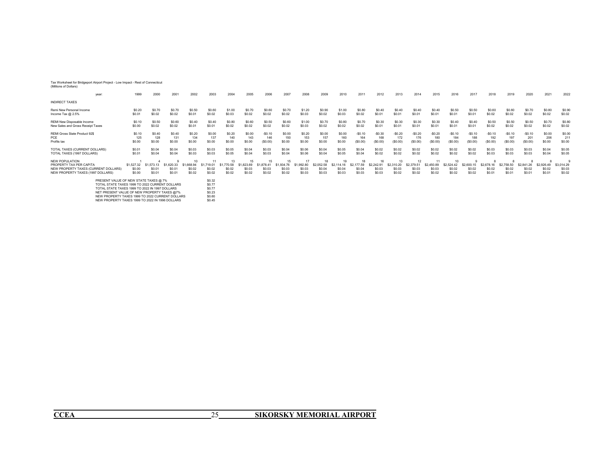#### Tax Worksheet for Bridgeport Airport Project - Low Impact - Rest of Connecticut (Millions of Dollars)

| year:                                                                                                                  | 1999                           | 2000               | 2001              | 2002             | 2003                   | 2004             | 2005                   | 2006                   | 2007             | 2008             | 2009             | 2010                   | 2011             | 2012             | 2013             | 2014                   | 2015                                  | 2016                   | 2017             | 2018             | 2019             | 2020             | 2021                        | 2022                           |
|------------------------------------------------------------------------------------------------------------------------|--------------------------------|--------------------|-------------------|------------------|------------------------|------------------|------------------------|------------------------|------------------|------------------|------------------|------------------------|------------------|------------------|------------------|------------------------|---------------------------------------|------------------------|------------------|------------------|------------------|------------------|-----------------------------|--------------------------------|
| <b>INDIRECT TAXES</b>                                                                                                  |                                |                    |                   |                  |                        |                  |                        |                        |                  |                  |                  |                        |                  |                  |                  |                        |                                       |                        |                  |                  |                  |                  |                             |                                |
| Remi New Personal Income                                                                                               | \$0.20                         | \$0.70             | \$0.70            | \$0.50           | \$0.60                 | \$1.00           | \$0.70                 | \$0.60                 | \$0.70           | \$1.20           | \$0.90           | \$1.00                 | \$0.80           | \$0.40           | \$0.40           | \$0.40                 | \$0.40                                | \$0.50                 | \$0.50           | \$0.60           | \$0.60           | \$0.70           | \$0.80                      | \$0.90                         |
| Income Tax $@2.5\%$                                                                                                    | \$0.01                         | \$0.02             | \$0.02            | \$0.01           | \$0.02                 | \$0.03           | \$0.02                 | \$0.02                 | \$0.02           | \$0.03           | \$0.02           | \$0.03                 | \$0.02           | \$0.01           | \$0.01           | \$0.01                 | S <sub>0.01</sub>                     | \$0.01                 | \$0.01           | \$0.02           | \$0.02           | \$0.02           | \$0.02                      | \$0.02                         |
| REMI New Disposable Income                                                                                             | \$0.10                         | \$0.50             | \$0.60            | \$0.40           | \$0.40                 | \$0.80           | \$0.60                 | \$0.50                 | \$0.60           | \$1.00           | \$0.70           | \$0.80                 | \$0.70           | \$0.30           | \$0.30           | \$0.30                 | \$0.30                                | \$0.40                 | \$0.40           | \$0.50           | \$0.50           | \$0.50           | \$0.70                      | \$0.80                         |
| New Sales and Gross Receipt Taxes                                                                                      | \$0.00                         | \$0.02             | \$0.02            | \$0.01           | \$0.01                 | \$0.02           | \$0.02                 | \$0.02                 | \$0.02           | \$0.03           | \$0.02           | \$0.02                 | \$0.02           | \$0.01           | \$0.01           | \$0.01                 | S <sub>0.01</sub>                     | \$0.01                 | \$0.01           | \$0.02           | \$0.02           | \$0.02           | \$0.02                      | \$0.02                         |
| REMI Gross State Product 92\$                                                                                          | \$0.10                         | \$0.40             | S <sub>0.40</sub> | \$0.20           | \$0.00                 | \$0.20           | \$0.00                 | $-50.10$               | \$0.00           | \$0.20           | \$0.00           | \$0.00                 | $-$0.10$         | $-50.30$         | $-$0.20$         | $-$0.20$               | $-$0.20$                              | $-$0.10$               | $-50.10$         | $-$0.10$         | $-$0.10$         | $-$0.10$         | \$0.00                      | \$0.00                         |
| PCE                                                                                                                    | 125                            | 128                | 131               | 134              | 137                    | 140              | 143                    | 146                    | 150              | 153              | 157              | 160                    | 164              | 168              | 172              | 176                    | 180                                   | 184                    | 188              | 192              | 197              | 201              | 206                         | 211                            |
| Profits tax                                                                                                            | \$0.00                         | \$0.00             | \$0.00            | \$0.00           | \$0.00                 | \$0.00           | \$0.00                 | (S0.00)                | \$0.00           | \$0.00           | \$0.00           | \$0.00                 | (\$0.00)         | (S0.00)          | (S0.00)          | (S0.00)                | (S0.00)                               | (S0.00)                | (S0.00)          | (S0.00)          | (S0.00)          | (S0.00)          | \$0.00                      | \$0.00                         |
| TOTAL TAXES (CURRENT DOLLARS)                                                                                          | \$0.01                         | \$0.04             | \$0.04            | \$0.03           | \$0.03                 | \$0.05           | \$0.04                 | \$0.03                 | \$0.04           | \$0.06           | \$0.04           | \$0.05                 | \$0.04           | \$0.02           | \$0.02           | \$0.02                 | \$0.02                                | \$0.02                 | \$0.02           | \$0.03           | \$0.03           | \$0.03           | \$0.04                      | \$0.05                         |
| TOTAL TAXES (1997 DOLLARS)                                                                                             | \$0.01                         | \$0.04             | \$0.04            | \$0.03           | \$0.03                 | \$0.05           | \$0.04                 | \$0.03                 | \$0.04           | \$0.06           | \$0.04           | \$0.05                 | \$0.04           | \$0.02           | \$0.02           | \$0.02                 | \$0.02                                | \$0.02                 | \$0.02           | \$0.03           | \$0.03           | \$0.03           | \$0.04                      | \$0.05                         |
| NEW POPULATION<br>PROPERTY TAX PER CAPITA<br>NEW PROPERTY TAXES (CURRENT DOLLARS)<br>NEW PROPERTY TAXES (1997 DOLLARS) | \$1,527.32<br>\$0.00<br>\$0.00 | 1.573.13<br>\$0.01 | \$0.01<br>\$0.01  | \$0.02<br>\$0.02 | 11<br>\$0.02<br>\$0.02 | \$0.02<br>\$0.02 | 15<br>\$0.03<br>\$0.02 | 15<br>\$0.03<br>\$0.02 | \$0.03<br>\$0.02 | \$0.03<br>\$0.03 | \$0.04<br>\$0.03 | 19<br>\$0.04<br>\$0.03 | \$0.04<br>\$0.03 | \$0.03<br>\$0.03 | \$0.03<br>\$0.02 | 12<br>\$0.03<br>\$0.02 | <b>\$2.450.89</b><br>\$0.03<br>\$0.02 | 10<br>\$0.02<br>\$0.02 | \$0.02<br>\$0.02 | \$0.02<br>\$0.01 | \$0.02<br>\$0.01 | \$0.02<br>\$0.01 | \$2.926<br>\$0.02<br>\$0.01 | \$3,014.29<br>\$0.03<br>\$0.02 |
| PRESENT VALUE OF NEW STATE TAXES @ 7%                                                                                  | \$0.32                         |                    |                   |                  |                        |                  |                        |                        |                  |                  |                  |                        |                  |                  |                  |                        |                                       |                        |                  |                  |                  |                  |                             |                                |

PRESENT VALUE OF NEW STATE TAKES @ 7%<br>TOTAL STATE TAXES 1999 TO 2022 (URRENT DOLLARS \$90,77<br>TOTAL STATE TAXES 1999 TO 2022 (URRENT DOLLARS \$90,77%<br>NET PRESENT VALUE OF NEW PROPERTY TAXES @ 7%<br>NEW PROPERTY TAXES 1999 TO 202

ī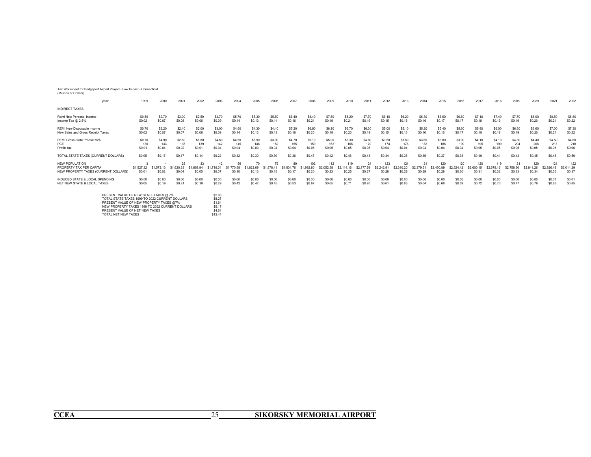#### Tax Worksheet for Bridgeport Airport Project - Low Impact - Connecticut (Millions of Dollars)

| year.                                                                                    | 1999                | 2000                       | 2001   | 2002         | 2003                      | 2004                       | 2005                                  | 2006                       | 2007                     | 2008                        | 2009                        | 2010                        | 2011                        | 2012                        | 2013              | 2014                        | 2015                        | 2016                        | 2017                                  | 2018                        | 2019          | 2020                        | 2021                        | 2022                        |
|------------------------------------------------------------------------------------------|---------------------|----------------------------|--------|--------------|---------------------------|----------------------------|---------------------------------------|----------------------------|--------------------------|-----------------------------|-----------------------------|-----------------------------|-----------------------------|-----------------------------|-------------------|-----------------------------|-----------------------------|-----------------------------|---------------------------------------|-----------------------------|---------------|-----------------------------|-----------------------------|-----------------------------|
| <b>INDIRECT TAXES</b>                                                                    |                     |                            |        |              |                           |                            |                                       |                            |                          |                             |                             |                             |                             |                             |                   |                             |                             |                             |                                       |                             |               |                             |                             |                             |
| Remi New Personal Income                                                                 | S0.80               | \$2.70                     | \$3.00 | \$2.50       | \$3.70                    | \$5.70                     | \$5.30                                | \$5.50                     | \$6.40                   | \$8.40                      | \$7.50                      | \$8.20                      | \$7.70                      | \$6.10                      | \$6.20            | \$6.30                      | \$6.60                      | \$6.80                      | \$7.10                                | \$7.40                      | \$7.70        | \$8.00                      | \$8.50                      | \$8.80                      |
| Income Tax @ 2.5%                                                                        | \$0.02              | \$0.07                     | \$0.08 | \$0.06       | \$0.09                    | \$0.14                     | \$0.13                                | \$0.14                     | \$0.16                   | \$0.21                      | \$0.19                      | \$0.21                      | \$0.19                      | \$0.15                      | S <sub>0.16</sub> | \$0.16                      | \$0.17                      | \$0.17                      | S <sub>0.18</sub>                     | \$0.19                      | \$0.19        | \$0.20                      | \$0.21                      | \$0.22                      |
| REMI New Disposable Income                                                               | \$0.70              | \$2.20                     | \$2.40 | \$2.00       | \$3.00                    | \$4.60                     | \$4.30                                | \$4.40                     | \$5.20                   | \$6.80                      | \$6.10                      | \$6.70                      | \$6.30                      | \$5.00                      | \$5.10            | \$5.20                      | \$5.40                      | \$5.60                      | \$5.90                                | \$6.00                      | \$6.30        | \$6.60                      | \$7.00                      | \$7.30                      |
| New Sales and Gross Receipt Taxes                                                        | \$0.02              | \$0.07                     | \$0.07 | \$0.06       | \$0.09                    | \$0.14                     | \$0.13                                | \$0.13                     | \$0.16                   | \$0.20                      | \$0.18                      | \$0.20                      | \$0.19                      | \$0.15                      | \$0.15            | \$0.16                      | \$0.16                      | \$0.17                      | \$0.18                                | \$0.18                      | \$0.19        | \$0.20                      | \$0.21                      | \$0.22                      |
| REMI Gross State Product 92\$                                                            | \$0.70              | \$4.90                     | \$2.60 | \$1.80       | \$4.60                    | \$4.60                     | \$3.90                                | \$3.90                     | \$4.70                   | \$6.10                      | \$5.00                      | \$5.30                      | \$4.60                      | \$3.50                      | \$3.60            | \$3.60                      | \$3.80                      | \$3.90                      | \$4.10                                | \$4.10                      | \$4.30        | \$4.40                      | \$4.50                      | \$4.60                      |
| PCF                                                                                      | 130                 | 133                        | 136    | 139          | 142                       | 145                        | 148                                   | 152                        | 155                      | 159                         | 162                         | 166                         | 170                         | 174                         | 178               | 182                         | 186                         | 190                         | 195                                   | 199                         | 204           | 208                         | 213                         | 218                         |
| Profits tax                                                                              | \$0.01              | \$0.04                     | \$0.02 | \$0.01       | \$0.04                    | \$0.04                     | \$0.03                                | \$0.04                     | \$0.04                   | \$0.06                      | \$0.05                      | \$0.05                      | \$0.05                      | \$0.04                      | \$0.04            | \$0.04                      | S <sub>0.04</sub>           | \$0.04                      | \$0.05                                | \$0.05                      | \$0.05        | \$0.05                      | \$0.06                      | \$0.06                      |
| TOTAL STATE TAXES (CURRENT DOLLARS)                                                      | \$0.05              | \$0.17                     | \$0.17 | \$0.14       | \$0.22                    | \$0.32                     | \$0.30                                | \$0.30                     | \$0.36                   | \$0.47                      | \$0.42                      | \$0.46                      | \$0.43                      | \$0.34                      | \$0.35            | \$0.35                      | \$0.37                      | \$0.38                      | \$0.40                                | \$0.41                      | \$0.43        | \$0.45                      | \$0.48                      | \$0.50                      |
| <b>NEW POPULATION</b><br>PROPERTY TAX PER CAPITA<br>NEW PROPERTY TAXES (CURRENT DOLLARS) | \$1,527.32<br>S0.01 | 14<br>\$1,573.13<br>\$0.02 | \$0.04 | 33<br>\$0.05 | 42<br>\$1.719.0<br>\$0.07 | 56<br>\$1,770.58<br>\$0.10 | 70<br>\$1,823.69<br>S <sub>0.13</sub> | 79<br>\$1.878.41<br>\$0.15 | 89<br>1.934.76<br>\$0.17 | 102<br>\$1,992.80<br>\$0.20 | 112<br>\$2.052.58<br>\$0.23 | 119<br>\$2,114.16<br>\$0.25 | 124<br>\$2,177.59<br>\$0.27 | 123<br>\$2.242.91<br>\$0.28 | 121<br>\$0.28     | 121<br>\$2,379.51<br>\$0.29 | 120<br>\$2,450.89<br>\$0.29 | 120<br>\$2,524.42<br>\$0.30 | 120<br>\$2,600.1<br>S <sub>0.31</sub> | 119<br>\$2,678.16<br>\$0.32 | 121<br>\$0.33 | 120<br>\$2,841.26<br>\$0.34 | 121<br>\$2,926.49<br>\$0.35 | 122<br>\$3,014.29<br>\$0.37 |
| <b>INDUCED STATE &amp; LOCAL SPENDING</b>                                                | \$0.00              | \$0.00                     | \$0.00 | \$0.00       | \$0.00                    | \$0.00                     | \$0.00                                | \$0.00                     | \$0.00                   | \$0.00                      | \$0.00                      | \$0.00                      | \$0.00                      | \$0.00                      | \$0.00            | \$0.00                      | \$0.00                      | \$0.00                      | \$0.00                                | \$0.00                      | \$0.00        | \$0.00                      | \$0.01                      | \$0.01                      |
| NET NEW STATE & LOCAL TAXES                                                              | \$0.05              | \$0.19                     | \$0.21 | \$0.19       | \$0.29                    | \$0.42                     | \$0.42                                | \$0.45                     | \$0.53                   | \$0.67                      | \$0.65                      | \$0.71                      | \$0.70                      | \$0.61                      | \$0.63            | \$0.64                      | \$0.66                      | \$0.69                      | S0.72                                 | \$0.73                      | \$0.77        | \$0.79                      | \$0.83                      | \$0.85                      |

| PRESENT VALUE OF NEW STATE TAXES @ 7%           | \$2.98  |
|-------------------------------------------------|---------|
| TOTAL STATE TAXES 1999 TO 2022 CURRENT DOLLARS  | \$8.27  |
| PRESENT VALUE OF NEW PROPERTY TAXES @7%         | \$1.64  |
| NEW PROPERTY TAXES 1999 TO 2022 CURRENT DOLLARS | \$5.17  |
| PRESENT VALUE OF NET NEW TAXES                  | \$4.61  |
| TOTAL NET NEW TAXES                             | \$13.41 |
|                                                 |         |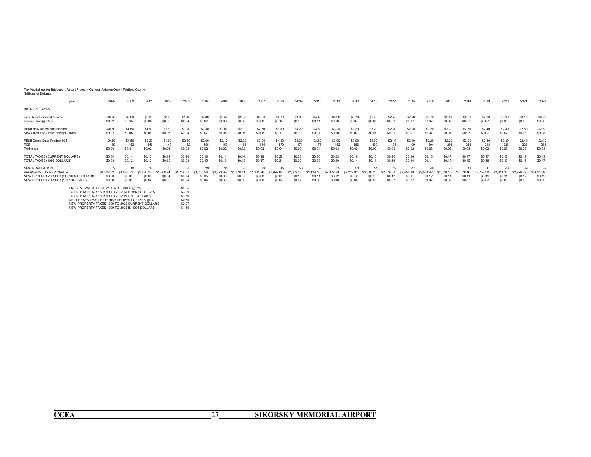#### Tax Worksheet for Bridgeport Airport Project - General Aviation Only - Fairfield County

| (Millions of Dollars) |
|-----------------------|
|-----------------------|

| vear                                                                                                                                                                                                                                                                                           | 1999                           | 2000                                 | 2001                           | 2002                              | 2003                                 | 2004                                 | 2005                             | 2006                           | 2007                             | 2008                         | 2009                                            | 2010                                 | 2011                                 | 2012                                 | 2013                                 | 2014                                 | 2015                           | 2016                                 | 2017                                 | 2018                                            | 2019                          | 2020                           | 2021                                 | 2022                                 |
|------------------------------------------------------------------------------------------------------------------------------------------------------------------------------------------------------------------------------------------------------------------------------------------------|--------------------------------|--------------------------------------|--------------------------------|-----------------------------------|--------------------------------------|--------------------------------------|----------------------------------|--------------------------------|----------------------------------|------------------------------|-------------------------------------------------|--------------------------------------|--------------------------------------|--------------------------------------|--------------------------------------|--------------------------------------|--------------------------------|--------------------------------------|--------------------------------------|-------------------------------------------------|-------------------------------|--------------------------------|--------------------------------------|--------------------------------------|
| <b>INDIRECT TAXES</b>                                                                                                                                                                                                                                                                          |                                |                                      |                                |                                   |                                      |                                      |                                  |                                |                                  |                              |                                                 |                                      |                                      |                                      |                                      |                                      |                                |                                      |                                      |                                                 |                               |                                |                                      |                                      |
| Remi New Personal Income                                                                                                                                                                                                                                                                       | \$0.70                         | \$2.00                               | \$2.30                         | \$2.00                            | \$1.40                               | \$2.80                               | \$2.50                           | \$2.50                         | \$3.20                           | \$4.70                       | \$3.90                                          | \$4.40                               | \$3.90                               | \$2.70                               | \$2.70                               | \$2.70                               | \$2.70                         | \$2.70                               | \$2.80                               | \$2.80                                          | \$2.90                        | \$3.00                         | \$3.10                               | \$3.20                               |
| Income Tax @ 2.5%                                                                                                                                                                                                                                                                              | \$0.02                         | \$0.05                               | \$0.06                         | \$0.05                            | \$0.04                               | \$0.07                               | \$0.06                           | \$0.06                         | \$0.08                           | \$0.12                       | \$0.10                                          | \$0.11                               | \$0.10                               | \$0.07                               | \$0.07                               | \$0.07                               | \$0.07                         | \$0.07                               | \$0.07                               | \$0.07                                          | \$0.07                        | \$0.08                         | \$0.08                               | \$0.08                               |
| REMI New Disposable Income                                                                                                                                                                                                                                                                     | \$0.50                         | \$1.60                               | \$1.90                         | \$1.60                            | \$1.20                               | \$2.30                               | \$2.00                           | \$2.00                         | \$2.60                           | \$3.80                       | \$3.20                                          | \$3.60                               | \$3.20                               | \$2.20                               | \$2.20                               | \$2.20                               | \$2.20                         | \$2.20                               | \$2.30                               | \$2.30                                          | \$2.40                        | \$2.40                         | \$2.50                               | \$2.60                               |
| New Sales and Gross Receipt Taxes                                                                                                                                                                                                                                                              | \$0.02                         | \$0.05                               | \$0.06                         | \$0.05                            | \$0.04                               | \$0.07                               | \$0.06                           | \$0.06                         | \$0.08                           | \$0.11                       | \$0.10                                          | \$0.11                               | \$0.10                               | \$0.07                               | \$0.07                               | \$0.07                               | \$0.07                         | \$0.07                               | \$0.07                               | \$0.07                                          | \$0.07                        | \$0.07                         | \$0.08                               | \$0.08                               |
| REMI Gross State Product 92\$                                                                                                                                                                                                                                                                  | \$0.60                         | \$4.50                               | \$2.20                         | \$1.60                            | \$2.80                               | \$2.60                               | \$2.10                           | \$2.20                         | \$3.00                           | \$4.20                       | \$3.30                                          | \$3.60                               | \$3.00                               | \$2.00                               | \$2.00                               | \$2.10                               | \$2.10                         | \$2.20                               | \$2.20                               | \$2.20                                          | \$2.30                        | \$2.30                         | \$2.40                               | \$2.40                               |
| PCE                                                                                                                                                                                                                                                                                            | 139                            | 142                                  | 146                            | 149                               | 152                                  | 156                                  | 159                              | 163                            | 166                              | 170                          | 174                                             | 178                                  | 182                                  | 186                                  | 190                                  | 195                                  | 199                            | 204                                  | 208                                  | 213                                             | 218                           | 223                            | 228                                  | 233                                  |
| Profits tax                                                                                                                                                                                                                                                                                    | \$0.00                         | \$0.04                               | \$0.02                         | \$0.01                            | \$0.03                               | \$0.02                               | \$0.02                           | \$0.02                         | \$0.03                           | \$0.04                       | \$0.03                                          | \$0.04                               | \$0.03                               | \$0.02                               | \$0.02                               | \$0.02                               | \$0.02                         | \$0.03                               | \$0.03                               | \$0.03                                          | \$0.03                        | \$0.03                         | \$0.03                               | \$0.03                               |
| TOTAL TAXES (CURRENT DOLLARS)                                                                                                                                                                                                                                                                  | \$0.04                         | \$0.14                               | \$0.13                         | \$0.11                            | \$0.10                               | \$0.16                               | \$0.14                           | \$0.14                         | \$0.19                           | \$0.27                       | \$0.23                                          | \$0.26                               | \$0.23                               | \$0.16                               | \$0.16                               | \$0.16                               | \$0.16                         | \$0.16                               | \$0.17                               | \$0.17                                          | \$0.17                        | \$0.18                         | \$0.19                               | \$0.19                               |
| TOTAL TAXES (1997 DOLLARS)                                                                                                                                                                                                                                                                     | \$0.03                         | \$0.12                               | \$0.12                         | \$0.10                            | \$0.09                               | \$0.15                               | \$0.13                           | \$0.13                         | \$0.17                           | \$0.24                       | \$0.20                                          | \$0.23                               | \$0.20                               | \$0.14                               | \$0.14                               | \$0.14                               | \$0.14                         | \$0.14                               | \$0.15                               | \$0.15                                          | \$0.16                        | \$0.16                         | \$0.17                               | \$0.17                               |
| NEW POPULATION<br>PROPERTY TAX PER CAPITA<br>NEW PROPERTY TAXES (CURRENT DOLLARS)<br>NEW PROPERTY TAXES (1997 DOLLARS)                                                                                                                                                                         | \$1,527.32<br>\$0.00<br>\$0.00 | 10<br>\$1,573.13<br>\$0.0'<br>\$0.0' | \$1,620,33<br>\$0.03<br>\$0.02 | 23<br>.668.94<br>\$0.04<br>\$0.03 | 25<br>\$1,719.01<br>\$0.04<br>\$0.04 | 29<br>\$1,770.58<br>\$0.05<br>\$0.04 | 33<br>823.69<br>\$0.06<br>\$0.05 | \$1,878.41<br>\$0.07<br>\$0.05 | 39<br>193476<br>\$0.08<br>\$0.06 | 1.992.80<br>\$0.09<br>\$0.07 | 50<br>\$2,052.58<br>S <sub>0.10</sub><br>\$0.07 | 53<br>\$2 114 16<br>\$0.11<br>\$0.08 | 55<br>\$2,177.59<br>\$0.12<br>\$0.08 | 53<br>\$2,242.91<br>\$0.12<br>\$0.08 | 51<br>\$2,310.20<br>\$0.12<br>\$0.08 | 49<br>\$2,379.51<br>\$0.12<br>\$0.07 | \$2 450 89<br>\$0.11<br>\$0.07 | 46<br>\$2,524.42<br>\$0.12<br>\$0.07 | 44<br>\$2,600.15<br>\$0.11<br>\$0.07 | 43<br>\$2,678.16<br>S <sub>0.11</sub><br>\$0.07 | \$2 758 50<br>\$0.1<br>\$0.07 | \$2,841.26<br>\$0.11<br>\$0.06 | 39<br>\$2,926.49<br>\$0.12<br>\$0.06 | 39<br>\$3,014.29<br>\$0.12<br>\$0.06 |
| PRESENT VALUE OF NEW STATE TAXES @ 7%<br>TOTAL STATE TAXES 1999 TO 2022 CURRENT DOLLARS<br>TOTAL STATE TAXES 1999 TO 2022 IN 1997 DOLLARS<br>NET PRESENT VALUE OF NEW PROPERTY TAXES @7%<br>NEW PROPERTY TAXES 1999 TO 2022 CURRENT DOLLARS<br>NEW PROPERTY TAXES 1999 TO 2022 IN 1996 DOLLARS |                                |                                      |                                |                                   |                                      |                                      |                                  |                                |                                  |                              |                                                 |                                      |                                      |                                      |                                      |                                      |                                |                                      |                                      |                                                 |                               |                                |                                      |                                      |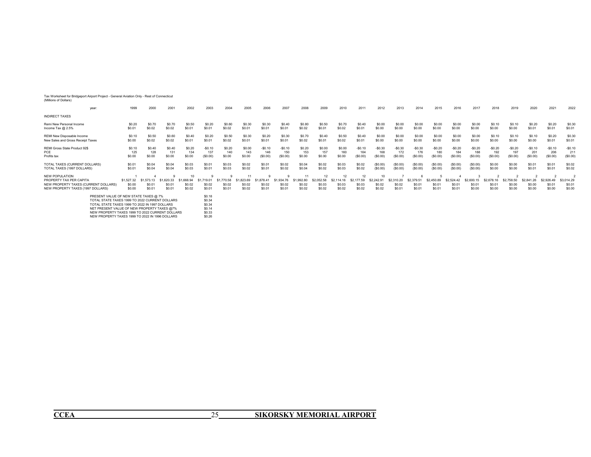#### Tax Worksheet for Bridgeport Airport Project - General Aviation Only - Rest of Connecticut

| (Millions of Dollars) |  |
|-----------------------|--|
|-----------------------|--|

| year:                                                                                                                                                                                                                                                                                                                                                      | 1999                           | 2000                           | 2001                           | 2002                           | 2003                           | 2004                           | 2005                        | 2006                           | 2007                           | 2008                           | 2009                                 | 2010                                 | 2011                                 | 2012                                 | 2013                           | 2014                          | 2015                           | 2016                          | 2017                           | 2018                          | 2019                           | 2020                           | 2021                           | 2022                                                       |
|------------------------------------------------------------------------------------------------------------------------------------------------------------------------------------------------------------------------------------------------------------------------------------------------------------------------------------------------------------|--------------------------------|--------------------------------|--------------------------------|--------------------------------|--------------------------------|--------------------------------|-----------------------------|--------------------------------|--------------------------------|--------------------------------|--------------------------------------|--------------------------------------|--------------------------------------|--------------------------------------|--------------------------------|-------------------------------|--------------------------------|-------------------------------|--------------------------------|-------------------------------|--------------------------------|--------------------------------|--------------------------------|------------------------------------------------------------|
| <b>INDIRECT TAXES</b>                                                                                                                                                                                                                                                                                                                                      |                                |                                |                                |                                |                                |                                |                             |                                |                                |                                |                                      |                                      |                                      |                                      |                                |                               |                                |                               |                                |                               |                                |                                |                                |                                                            |
| Remi New Personal Income                                                                                                                                                                                                                                                                                                                                   | \$0.20                         | \$0.70                         | \$0.70                         | \$0.50                         | \$0.20                         | \$0.60                         | \$0.30                      | \$0.30                         | \$0.40                         | \$0.80                         | \$0.50                               | \$0.70                               | \$0.40                               | \$0.00                               | \$0.00                         | \$0.00                        | \$0.00                         | \$0.00                        | \$0.00                         | \$0.10                        | \$0.10                         | \$0.20                         | \$0.20                         | \$0.30                                                     |
| Income Tax $@2.5\%$                                                                                                                                                                                                                                                                                                                                        | \$0.01                         | \$0.02                         | \$0.02                         | \$0.01                         | \$0.01                         | \$0.02                         | \$0.01                      | \$0.01                         | \$0.01                         | \$0.02                         | \$0.01                               | \$0.02                               | \$0.01                               | \$0.00                               | \$0.00                         | \$0.00                        | \$0.00                         | \$0.00                        | \$0.00                         | \$0.00                        | \$0.00                         | \$0.01                         | \$0.01                         | \$0.01                                                     |
| REMI New Disposable Income                                                                                                                                                                                                                                                                                                                                 | \$0.10                         | \$0.50                         | \$0.60                         | \$0.40                         | \$0.20                         | \$0.50                         | \$0.30                      | \$0.20                         | \$0.30                         | \$0.70                         | \$0.40                               | \$0.50                               | \$0.40                               | \$0.00                               | \$0.00                         | \$0.00                        | \$0.00                         | \$0.00                        | \$0.00                         | \$0.10                        | \$0.10                         | \$0.10                         | \$0.20                         | \$0.30                                                     |
| New Sales and Gross Receipt Taxes                                                                                                                                                                                                                                                                                                                          | \$0.00                         | \$0.02                         | \$0.02                         | \$0.01                         | \$0.01                         | \$0.02                         | \$0.01                      | \$0.01                         | \$0.01                         | \$0.02                         | \$0.01                               | \$0.02                               | \$0.01                               | \$0.00                               | \$0.00                         | \$0.00                        | \$0.00                         | \$0.00                        | \$0.00                         | \$0.00                        | \$0.00                         | \$0.00                         | \$0.01                         | \$0.01                                                     |
| REMI Gross State Product 92\$                                                                                                                                                                                                                                                                                                                              | \$0.10                         | \$0.40                         | \$0.40                         | \$0.20                         | $-$0.10$                       | \$0.20                         | \$0.00                      | $-$0.10$                       | $-$0.10$                       | \$0.20                         | \$0.00                               | \$0.00                               | $-$0.10$                             | $-$0.30$                             | $-$0.30$                       | $-$0.30$                      | $-$0.20$                       | $-$0.20$                      | $-$0.20$                       | $-$0.20$                      | $-$0.20$                       | $-$0.10$                       | $-$0.10$                       | $-$0.10$                                                   |
| PCE                                                                                                                                                                                                                                                                                                                                                        | 125                            | 128                            | 131                            | 134                            | 137                            | 140                            | 143                         | 146                            | 150                            | 153                            | 157                                  | 160                                  | 164                                  | 168                                  | 172                            | 176                           | 180                            | 184                           | 188                            | 192                           | 197                            | 201                            | 206                            | 211                                                        |
| Profits tax                                                                                                                                                                                                                                                                                                                                                | \$0.00                         | \$0.00                         | \$0.00                         | \$0.00                         | (\$0.00)                       | \$0.00                         | \$0.00                      | (S0.00)                        | (S0.00)                        | \$0.00                         | \$0.00                               | \$0.00                               | (S0.00)                              | (S0.00)                              | (S0.00)                        | (S0.00)                       | (S0.00)                        | (S0.00)                       | (S0.00)                        | (\$0.00)                      | (\$0.00)                       | (S0.00)                        | (S0.00)                        | (S0.00)                                                    |
| TOTAL TAXES (CURRENT DOLLARS)                                                                                                                                                                                                                                                                                                                              | \$0.01                         | \$0.04                         | \$0.04                         | \$0.03                         | \$0.01                         | \$0.03                         | \$0.02                      | \$0.01                         | \$0.02                         | \$0.04                         | \$0.02                               | \$0.03                               | \$0.02                               | (S0.00)                              | (\$0.00)                       | (S0.00)                       | (S0.00)                        | (S0.00)                       | (S0.00)                        | \$0.00                        | \$0.00                         | \$0.01                         | \$0.01                         | \$0.02                                                     |
| TOTAL TAXES (1997 DOLLARS)                                                                                                                                                                                                                                                                                                                                 | \$0.01                         | \$0.04                         | \$0.04                         | \$0.03                         | \$0.01                         | \$0.03                         | \$0.02                      | \$0.01                         | \$0.02                         | \$0.04                         | \$0.02                               | \$0.03                               | \$0.02                               | (S0.00)                              | (\$0.00)                       | (S0.00)                       | (S0.00)                        | (S0.00)                       | (S0.00)                        | \$0.00                        | \$0.00                         | \$0.01                         | \$0.01                         | \$0.02                                                     |
| <b>NEW POPULATION</b><br>PROPERTY TAX PER CAPITA<br>NEW PROPERTY TAXES (CURRENT DOLLARS)<br>NEW PROPERTY TAXES (1997 DOLLARS)                                                                                                                                                                                                                              | \$1,527.32<br>\$0.00<br>\$0.00 | \$1,573.13<br>\$0.01<br>\$0.01 | \$1,620.33<br>\$0.0'<br>\$0.01 | \$1,668.94<br>\$0.02<br>\$0.02 | \$1,719.01<br>\$0.02<br>\$0.01 | \$1,770.58<br>\$0.02<br>\$0.01 | .823.69<br>\$0.02<br>\$0.02 | \$1,878.41<br>\$0.02<br>\$0.01 | \$1,934.76<br>\$0.02<br>\$0.01 | \$1,992.80<br>\$0.02<br>\$0.02 | 12<br>\$2,052.58<br>\$0.03<br>\$0.02 | 12<br>\$2,114.16<br>\$0.03<br>\$0.02 | 12<br>\$2,177.59<br>\$0.03<br>\$0.02 | 10<br>\$2 242 91<br>\$0.02<br>\$0.02 | \$2,310.20<br>\$0.02<br>\$0.01 | \$2,379.51<br>\$0.0<br>\$0.01 | \$2,450.89<br>\$0.01<br>\$0.01 | \$2,524.42<br>\$0.0<br>\$0.01 | \$2,600.15<br>\$0.01<br>\$0.00 | \$2,678.16<br>\$0.0<br>\$0.00 | \$2 758 50<br>\$0.00<br>\$0.00 | \$2,841.26<br>\$0.00<br>\$0.00 | \$2,926,49<br>\$0.01<br>\$0.00 | $\overline{\phantom{a}}$<br>\$3,014.29<br>\$0.01<br>\$0.00 |
| PRESENT VALUE OF NEW STATE TAXES @ 7%<br>\$0.18<br>TOTAL STATE TAXES 1999 TO 2022 CURRENT DOLLARS<br>\$0.34<br>TOTAL STATE TAXES 1999 TO 2022 IN 1997 DOLLARS<br>\$0.34<br>NET PRESENT VALUE OF NEW PROPERTY TAXES @7%<br>\$0.14<br>NEW PROPERTY TAXES 1999 TO 2022 CURRENT DOLLARS<br>\$0.33<br>\$0.26<br>NEW PROPERTY TAXES 1999 TO 2022 IN 1996 DOLLARS |                                |                                |                                |                                |                                |                                |                             |                                |                                |                                |                                      |                                      |                                      |                                      |                                |                               |                                |                               |                                |                               |                                |                                |                                |                                                            |